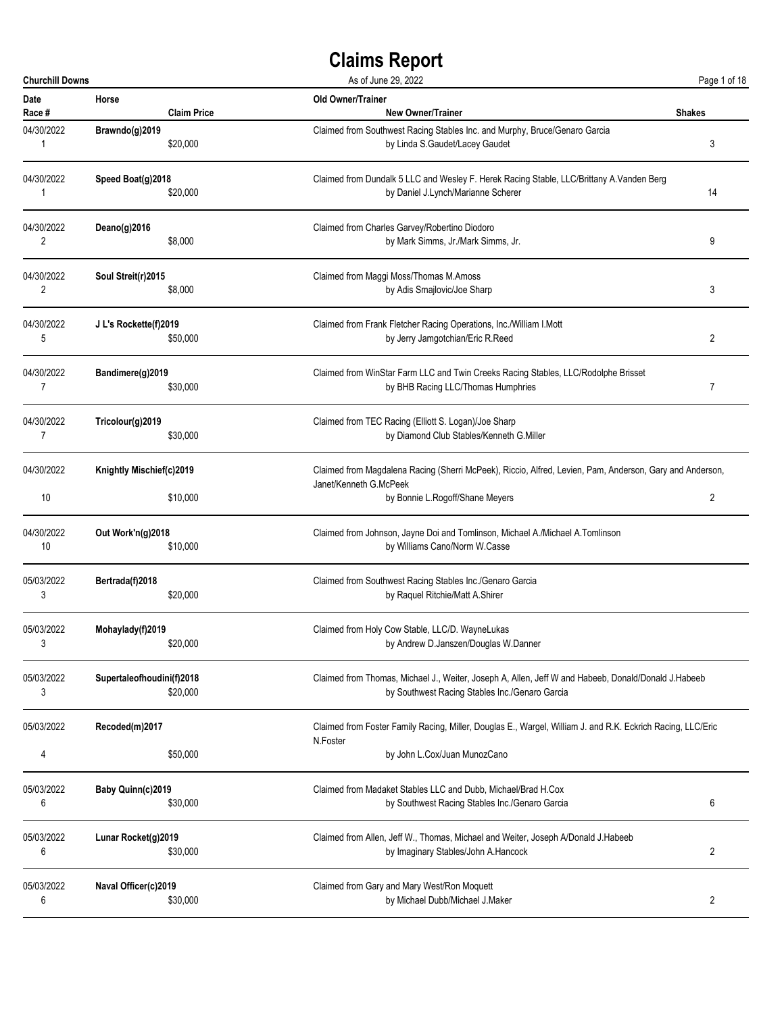| <b>Churchill Downs</b> |                                      | As of June 29, 2022                                                                                                                                                   | Page 1 of 18   |
|------------------------|--------------------------------------|-----------------------------------------------------------------------------------------------------------------------------------------------------------------------|----------------|
| <b>Date</b>            | Horse                                | <b>Old Owner/Trainer</b>                                                                                                                                              | <b>Shakes</b>  |
| Race #                 | <b>Claim Price</b>                   | <b>New Owner/Trainer</b>                                                                                                                                              |                |
| 04/30/2022             | Brawndo(g)2019                       | Claimed from Southwest Racing Stables Inc. and Murphy, Bruce/Genaro Garcia                                                                                            | 3              |
| 1                      | \$20,000                             | by Linda S.Gaudet/Lacey Gaudet                                                                                                                                        |                |
| 04/30/2022             | Speed Boat(g)2018                    | Claimed from Dundalk 5 LLC and Wesley F. Herek Racing Stable, LLC/Brittany A. Vanden Berg                                                                             | 14             |
| 1                      | \$20,000                             | by Daniel J.Lynch/Marianne Scherer                                                                                                                                    |                |
| 04/30/2022             | Deano(g)2016                         | Claimed from Charles Garvey/Robertino Diodoro                                                                                                                         | 9              |
| 2                      | \$8,000                              | by Mark Simms, Jr./Mark Simms, Jr.                                                                                                                                    |                |
| 04/30/2022             | Soul Streit(r)2015                   | Claimed from Maggi Moss/Thomas M.Amoss                                                                                                                                | 3              |
| 2                      | \$8,000                              | by Adis Smajlovic/Joe Sharp                                                                                                                                           |                |
| 04/30/2022             | J L's Rockette(f)2019                | Claimed from Frank Fletcher Racing Operations, Inc./William I.Mott                                                                                                    | $\overline{2}$ |
| 5                      | \$50,000                             | by Jerry Jamgotchian/Eric R.Reed                                                                                                                                      |                |
| 04/30/2022             | Bandimere(g)2019                     | Claimed from WinStar Farm LLC and Twin Creeks Racing Stables, LLC/Rodolphe Brisset                                                                                    | 7              |
| 7                      | \$30,000                             | by BHB Racing LLC/Thomas Humphries                                                                                                                                    |                |
| 04/30/2022             | Tricolour(g)2019                     | Claimed from TEC Racing (Elliott S. Logan)/Joe Sharp                                                                                                                  |                |
| 7                      | \$30,000                             | by Diamond Club Stables/Kenneth G.Miller                                                                                                                              |                |
| 04/30/2022<br>10       | Knightly Mischief(c)2019<br>\$10,000 | Claimed from Magdalena Racing (Sherri McPeek), Riccio, Alfred, Levien, Pam, Anderson, Gary and Anderson,<br>Janet/Kenneth G.McPeek<br>by Bonnie L.Rogoff/Shane Meyers | 2              |
| 04/30/2022             | Out Work'n(g)2018                    | Claimed from Johnson, Jayne Doi and Tomlinson, Michael A./Michael A.Tomlinson                                                                                         |                |
| 10                     | \$10,000                             | by Williams Cano/Norm W.Casse                                                                                                                                         |                |
| 05/03/2022             | Bertrada(f)2018                      | Claimed from Southwest Racing Stables Inc./Genaro Garcia                                                                                                              |                |
| 3                      | \$20,000                             | by Raquel Ritchie/Matt A.Shirer                                                                                                                                       |                |
| 05/03/2022             | Mohaylady(f)2019                     | Claimed from Holy Cow Stable, LLC/D. WayneLukas                                                                                                                       |                |
| 3                      | \$20,000                             | by Andrew D.Janszen/Douglas W.Danner                                                                                                                                  |                |
| 05/03/2022             | Supertaleofhoudini(f)2018            | Claimed from Thomas, Michael J., Weiter, Joseph A, Allen, Jeff W and Habeeb, Donald/Donald J.Habeeb                                                                   |                |
| 3                      | \$20,000                             | by Southwest Racing Stables Inc./Genaro Garcia                                                                                                                        |                |
| 05/03/2022             | Recoded(m)2017                       | Claimed from Foster Family Racing, Miller, Douglas E., Wargel, William J. and R.K. Eckrich Racing, LLC/Eric<br>N.Foster                                               |                |
| 4                      | \$50,000                             | by John L.Cox/Juan MunozCano                                                                                                                                          |                |
| 05/03/2022             | Baby Quinn(c)2019                    | Claimed from Madaket Stables LLC and Dubb, Michael/Brad H.Cox                                                                                                         | 6              |
| 6                      | \$30,000                             | by Southwest Racing Stables Inc./Genaro Garcia                                                                                                                        |                |
| 05/03/2022             | Lunar Rocket(g)2019                  | Claimed from Allen, Jeff W., Thomas, Michael and Weiter, Joseph A/Donald J.Habeeb                                                                                     | 2              |
| 6                      | \$30,000                             | by Imaginary Stables/John A.Hancock                                                                                                                                   |                |
| 05/03/2022             | Naval Officer(c)2019                 | Claimed from Gary and Mary West/Ron Moquett                                                                                                                           | 2              |
| 6                      | \$30,000                             | by Michael Dubb/Michael J.Maker                                                                                                                                       |                |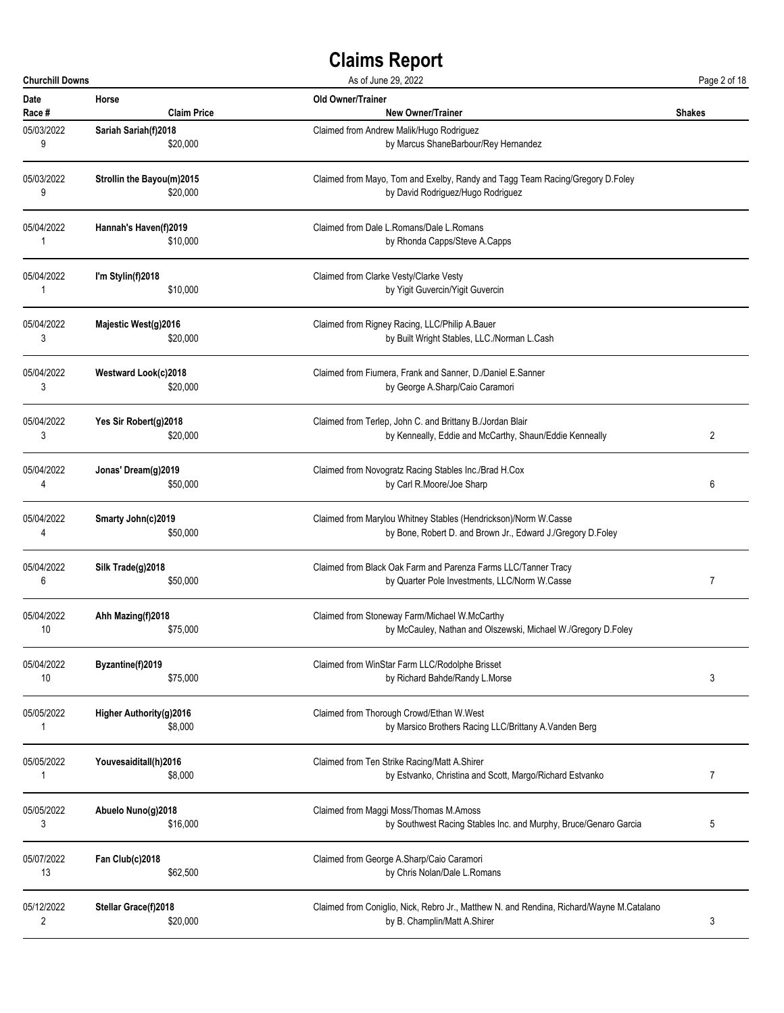| <b>Churchill Downs</b> |                           | As of June 29, 2022                                                                      |               |
|------------------------|---------------------------|------------------------------------------------------------------------------------------|---------------|
| Date                   | Horse                     | Old Owner/Trainer                                                                        | <b>Shakes</b> |
| Race #                 | <b>Claim Price</b>        | <b>New Owner/Trainer</b>                                                                 |               |
| 05/03/2022             | Sariah Sariah(f)2018      | Claimed from Andrew Malik/Hugo Rodriguez                                                 |               |
| 9                      | \$20,000                  | by Marcus ShaneBarbour/Rey Hernandez                                                     |               |
| 05/03/2022             | Strollin the Bayou(m)2015 | Claimed from Mayo, Tom and Exelby, Randy and Tagg Team Racing/Gregory D.Foley            |               |
| 9                      | \$20,000                  | by David Rodriguez/Hugo Rodriguez                                                        |               |
| 05/04/2022             | Hannah's Haven(f)2019     | Claimed from Dale L.Romans/Dale L.Romans                                                 |               |
| 1                      | \$10,000                  | by Rhonda Capps/Steve A.Capps                                                            |               |
| 05/04/2022             | I'm Stylin(f)2018         | Claimed from Clarke Vesty/Clarke Vesty                                                   |               |
| 1                      | \$10,000                  | by Yigit Guvercin/Yigit Guvercin                                                         |               |
| 05/04/2022             | Majestic West(g)2016      | Claimed from Rigney Racing, LLC/Philip A.Bauer                                           |               |
| 3                      | \$20,000                  | by Built Wright Stables, LLC./Norman L.Cash                                              |               |
| 05/04/2022             | Westward Look(c)2018      | Claimed from Fiumera, Frank and Sanner, D./Daniel E.Sanner                               |               |
| 3                      | \$20,000                  | by George A.Sharp/Caio Caramori                                                          |               |
| 05/04/2022             | Yes Sir Robert(g)2018     | Claimed from Terlep, John C. and Brittany B./Jordan Blair                                | 2             |
| 3                      | \$20,000                  | by Kenneally, Eddie and McCarthy, Shaun/Eddie Kenneally                                  |               |
| 05/04/2022             | Jonas' Dream(g)2019       | Claimed from Novogratz Racing Stables Inc./Brad H.Cox                                    | 6             |
| 4                      | \$50,000                  | by Carl R.Moore/Joe Sharp                                                                |               |
| 05/04/2022             | <b>Smarty John(c)2019</b> | Claimed from Marylou Whitney Stables (Hendrickson)/Norm W.Casse                          |               |
| 4                      | \$50,000                  | by Bone, Robert D. and Brown Jr., Edward J./Gregory D.Foley                              |               |
| 05/04/2022             | Silk Trade(g)2018         | Claimed from Black Oak Farm and Parenza Farms LLC/Tanner Tracy                           | 7             |
| 6                      | \$50,000                  | by Quarter Pole Investments, LLC/Norm W.Casse                                            |               |
| 05/04/2022             | Ahh Mazing(f)2018         | Claimed from Stoneway Farm/Michael W.McCarthy                                            |               |
| 10                     | \$75,000                  | by McCauley, Nathan and Olszewski, Michael W./Gregory D.Foley                            |               |
| 05/04/2022             | Byzantine(f)2019          | Claimed from WinStar Farm LLC/Rodolphe Brisset                                           | 3             |
| 10                     | \$75,000                  | by Richard Bahde/Randy L.Morse                                                           |               |
| 05/05/2022             | Higher Authority(g)2016   | Claimed from Thorough Crowd/Ethan W.West                                                 |               |
| 1                      | \$8,000                   | by Marsico Brothers Racing LLC/Brittany A. Vanden Berg                                   |               |
| 05/05/2022             | Youvesaiditall(h)2016     | Claimed from Ten Strike Racing/Matt A.Shirer                                             | 7             |
| 1                      | \$8,000                   | by Estvanko, Christina and Scott, Margo/Richard Estvanko                                 |               |
| 05/05/2022             | Abuelo Nuno(g)2018        | Claimed from Maggi Moss/Thomas M.Amoss                                                   | 5             |
| 3                      | \$16,000                  | by Southwest Racing Stables Inc. and Murphy, Bruce/Genaro Garcia                         |               |
| 05/07/2022             | Fan Club(c)2018           | Claimed from George A.Sharp/Caio Caramori                                                |               |
| 13                     | \$62,500                  | by Chris Nolan/Dale L.Romans                                                             |               |
| 05/12/2022             | Stellar Grace(f)2018      | Claimed from Coniglio, Nick, Rebro Jr., Matthew N. and Rendina, Richard/Wayne M.Catalano | 3             |
| 2                      | \$20,000                  | by B. Champlin/Matt A. Shirer                                                            |               |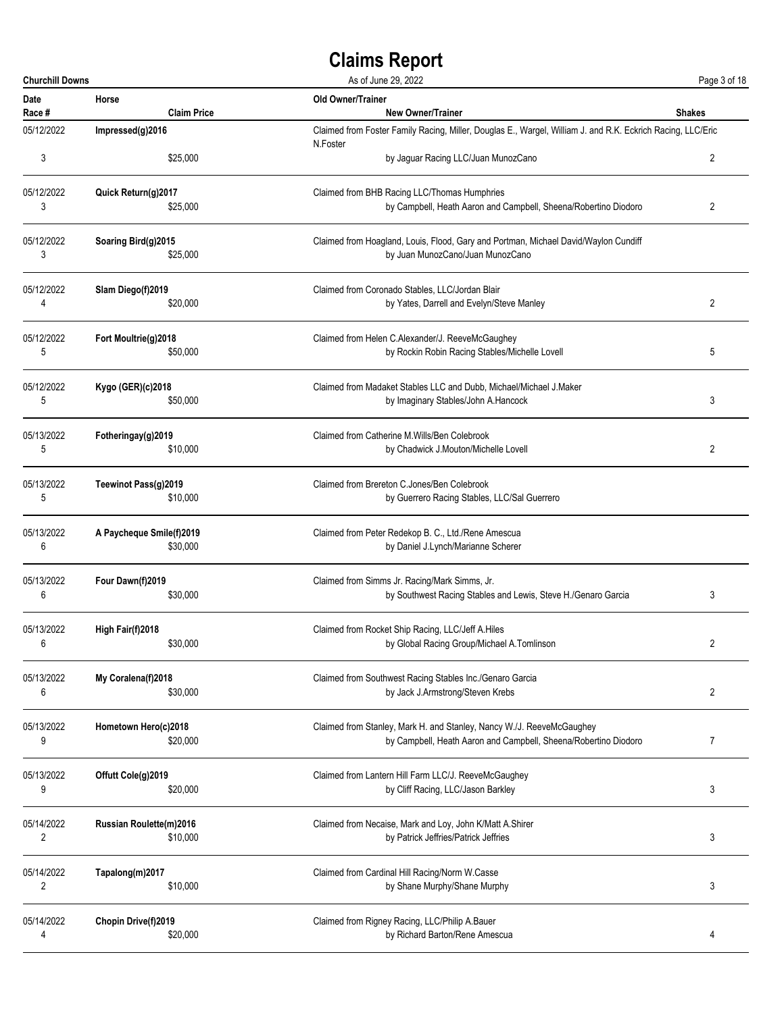| <b>Churchill Downs</b> |                          | As of June 29, 2022                                                                                         | Page 3 of 18   |  |
|------------------------|--------------------------|-------------------------------------------------------------------------------------------------------------|----------------|--|
| <b>Date</b>            | Horse                    | Old Owner/Trainer                                                                                           | <b>Shakes</b>  |  |
| Race #                 | <b>Claim Price</b>       | <b>New Owner/Trainer</b>                                                                                    |                |  |
| 05/12/2022             | Impressed(g)2016         | Claimed from Foster Family Racing, Miller, Douglas E., Wargel, William J. and R.K. Eckrich Racing, LLC/Eric |                |  |
| 3                      | \$25,000                 | N.Foster<br>by Jaguar Racing LLC/Juan MunozCano                                                             | 2              |  |
| 05/12/2022             | Quick Return(g)2017      | Claimed from BHB Racing LLC/Thomas Humphries                                                                | 2              |  |
| 3                      | \$25,000                 | by Campbell, Heath Aaron and Campbell, Sheena/Robertino Diodoro                                             |                |  |
| 05/12/2022             | Soaring Bird(g)2015      | Claimed from Hoagland, Louis, Flood, Gary and Portman, Michael David/Waylon Cundiff                         |                |  |
| 3                      | \$25,000                 | by Juan MunozCano/Juan MunozCano                                                                            |                |  |
| 05/12/2022             | Slam Diego(f)2019        | Claimed from Coronado Stables, LLC/Jordan Blair                                                             | 2              |  |
| 4                      | \$20,000                 | by Yates, Darrell and Evelyn/Steve Manley                                                                   |                |  |
| 05/12/2022             | Fort Moultrie(g)2018     | Claimed from Helen C.Alexander/J. ReeveMcGaughey                                                            | 5              |  |
| 5                      | \$50,000                 | by Rockin Robin Racing Stables/Michelle Lovell                                                              |                |  |
| 05/12/2022             | Kygo (GER)(c)2018        | Claimed from Madaket Stables LLC and Dubb, Michael/Michael J.Maker                                          | 3              |  |
| 5                      | \$50,000                 | by Imaginary Stables/John A.Hancock                                                                         |                |  |
| 05/13/2022             | Fotheringay(g)2019       | Claimed from Catherine M. Wills/Ben Colebrook                                                               | 2              |  |
| 5                      | \$10,000                 | by Chadwick J.Mouton/Michelle Lovell                                                                        |                |  |
| 05/13/2022             | Teewinot Pass(g)2019     | Claimed from Brereton C.Jones/Ben Colebrook                                                                 |                |  |
| 5                      | \$10,000                 | by Guerrero Racing Stables, LLC/Sal Guerrero                                                                |                |  |
| 05/13/2022             | A Paycheque Smile(f)2019 | Claimed from Peter Redekop B. C., Ltd./Rene Amescua                                                         |                |  |
| 6                      | \$30,000                 | by Daniel J.Lynch/Marianne Scherer                                                                          |                |  |
| 05/13/2022             | Four Dawn(f)2019         | Claimed from Simms Jr. Racing/Mark Simms, Jr.                                                               | 3              |  |
| 6                      | \$30,000                 | by Southwest Racing Stables and Lewis, Steve H./Genaro Garcia                                               |                |  |
| 05/13/2022             | High Fair(f)2018         | Claimed from Rocket Ship Racing, LLC/Jeff A.Hiles                                                           | 2              |  |
| 6                      | \$30,000                 | by Global Racing Group/Michael A.Tomlinson                                                                  |                |  |
| 05/13/2022             | My Coralena(f)2018       | Claimed from Southwest Racing Stables Inc./Genaro Garcia                                                    | $\overline{2}$ |  |
| 6                      | \$30,000                 | by Jack J.Armstrong/Steven Krebs                                                                            |                |  |
| 05/13/2022             | Hometown Hero(c)2018     | Claimed from Stanley, Mark H. and Stanley, Nancy W./J. ReeveMcGaughey                                       | $\overline{7}$ |  |
| 9                      | \$20,000                 | by Campbell, Heath Aaron and Campbell, Sheena/Robertino Diodoro                                             |                |  |
| 05/13/2022             | Offutt Cole(g)2019       | Claimed from Lantern Hill Farm LLC/J. ReeveMcGaughey                                                        | 3              |  |
| 9                      | \$20,000                 | by Cliff Racing, LLC/Jason Barkley                                                                          |                |  |
| 05/14/2022             | Russian Roulette(m)2016  | Claimed from Necaise, Mark and Loy, John K/Matt A.Shirer                                                    | 3              |  |
| 2                      | \$10,000                 | by Patrick Jeffries/Patrick Jeffries                                                                        |                |  |
| 05/14/2022             | Tapalong(m)2017          | Claimed from Cardinal Hill Racing/Norm W.Casse                                                              | 3              |  |
| $\overline{2}$         | \$10,000                 | by Shane Murphy/Shane Murphy                                                                                |                |  |
| 05/14/2022             | Chopin Drive(f)2019      | Claimed from Rigney Racing, LLC/Philip A.Bauer                                                              | 4              |  |
| 4                      | \$20,000                 | by Richard Barton/Rene Amescua                                                                              |                |  |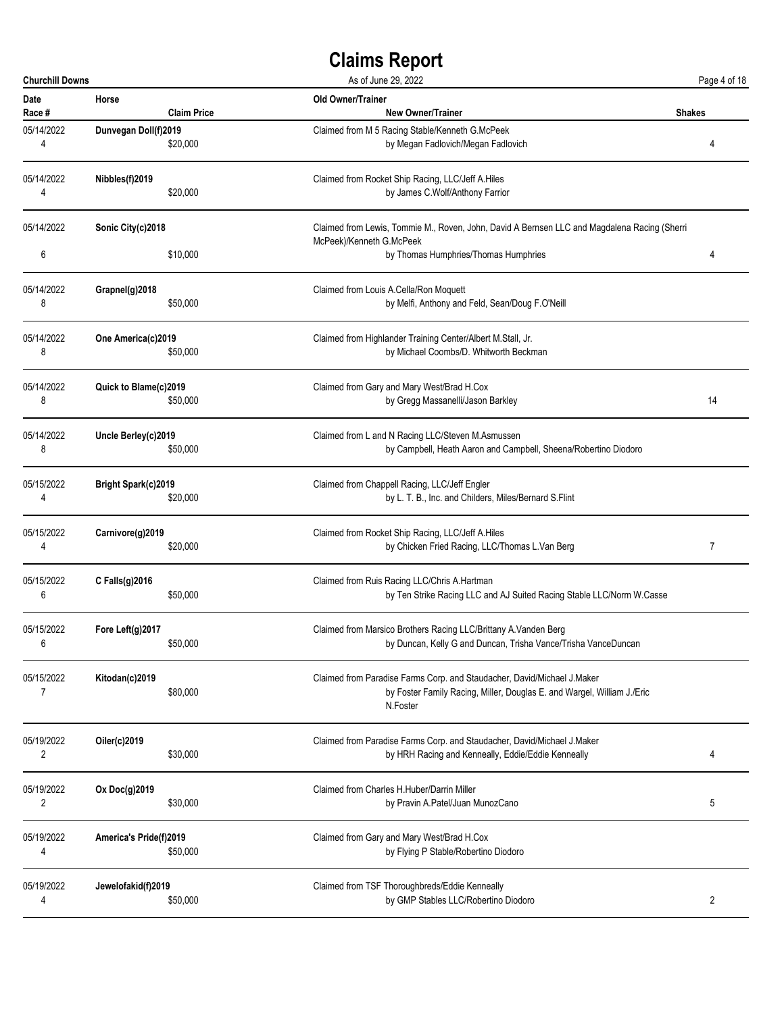| <b>Churchill Downs</b> |                            |                    | As of June 29, 2022                                                                                                                                            |               |
|------------------------|----------------------------|--------------------|----------------------------------------------------------------------------------------------------------------------------------------------------------------|---------------|
| <b>Date</b><br>Race #  | Horse                      | <b>Claim Price</b> | Old Owner/Trainer<br><b>New Owner/Trainer</b>                                                                                                                  | <b>Shakes</b> |
| 05/14/2022<br>4        | Dunvegan Doll(f)2019       | \$20,000           | Claimed from M 5 Racing Stable/Kenneth G.McPeek<br>by Megan Fadlovich/Megan Fadlovich                                                                          | 4             |
| 05/14/2022<br>4        | Nibbles(f)2019             | \$20,000           | Claimed from Rocket Ship Racing, LLC/Jeff A.Hiles<br>by James C.Wolf/Anthony Farrior                                                                           |               |
| 05/14/2022             | Sonic City(c)2018          |                    | Claimed from Lewis, Tommie M., Roven, John, David A Bernsen LLC and Magdalena Racing (Sherri<br>McPeek)/Kenneth G.McPeek                                       |               |
| 6                      |                            | \$10,000           | by Thomas Humphries/Thomas Humphries                                                                                                                           | 4             |
| 05/14/2022<br>8        | Grapnel(g)2018             | \$50,000           | Claimed from Louis A.Cella/Ron Moquett<br>by Melfi, Anthony and Feld, Sean/Doug F.O'Neill                                                                      |               |
| 05/14/2022<br>8        | One America(c)2019         | \$50,000           | Claimed from Highlander Training Center/Albert M.Stall, Jr.<br>by Michael Coombs/D. Whitworth Beckman                                                          |               |
| 05/14/2022<br>8        | Quick to Blame(c)2019      | \$50,000           | Claimed from Gary and Mary West/Brad H.Cox<br>by Gregg Massanelli/Jason Barkley                                                                                | 14            |
| 05/14/2022<br>8        | Uncle Berley(c)2019        | \$50,000           | Claimed from L and N Racing LLC/Steven M.Asmussen<br>by Campbell, Heath Aaron and Campbell, Sheena/Robertino Diodoro                                           |               |
| 05/15/2022<br>4        | <b>Bright Spark(c)2019</b> | \$20,000           | Claimed from Chappell Racing, LLC/Jeff Engler<br>by L. T. B., Inc. and Childers, Miles/Bernard S. Flint                                                        |               |
| 05/15/2022<br>4        | Carnivore(g)2019           | \$20,000           | Claimed from Rocket Ship Racing, LLC/Jeff A.Hiles<br>by Chicken Fried Racing, LLC/Thomas L.Van Berg                                                            | 7             |
| 05/15/2022<br>6        | C Falls(g)2016             | \$50,000           | Claimed from Ruis Racing LLC/Chris A.Hartman<br>by Ten Strike Racing LLC and AJ Suited Racing Stable LLC/Norm W.Casse                                          |               |
| 05/15/2022             | Fore Left(g)2017           | \$50,000           | Claimed from Marsico Brothers Racing LLC/Brittany A. Vanden Berg<br>by Duncan, Kelly G and Duncan, Trisha Vance/Trisha VanceDuncan                             |               |
| 05/15/2022<br>7        | Kitodan(c)2019             | \$80,000           | Claimed from Paradise Farms Corp. and Staudacher, David/Michael J.Maker<br>by Foster Family Racing, Miller, Douglas E. and Wargel, William J./Eric<br>N.Foster |               |
| 05/19/2022<br>2        | Oiler(c)2019               | \$30,000           | Claimed from Paradise Farms Corp. and Staudacher, David/Michael J.Maker<br>by HRH Racing and Kenneally, Eddie/Eddie Kenneally                                  | 4             |
| 05/19/2022<br>2        | Ox Doc(g)2019              | \$30,000           | Claimed from Charles H. Huber/Darrin Miller<br>by Pravin A.Patel/Juan MunozCano                                                                                | 5             |
| 05/19/2022<br>4        | America's Pride(f)2019     | \$50,000           | Claimed from Gary and Mary West/Brad H.Cox<br>by Flying P Stable/Robertino Diodoro                                                                             |               |
| 05/19/2022<br>4        | Jewelofakid(f)2019         | \$50,000           | Claimed from TSF Thoroughbreds/Eddie Kenneally<br>by GMP Stables LLC/Robertino Diodoro                                                                         | 2             |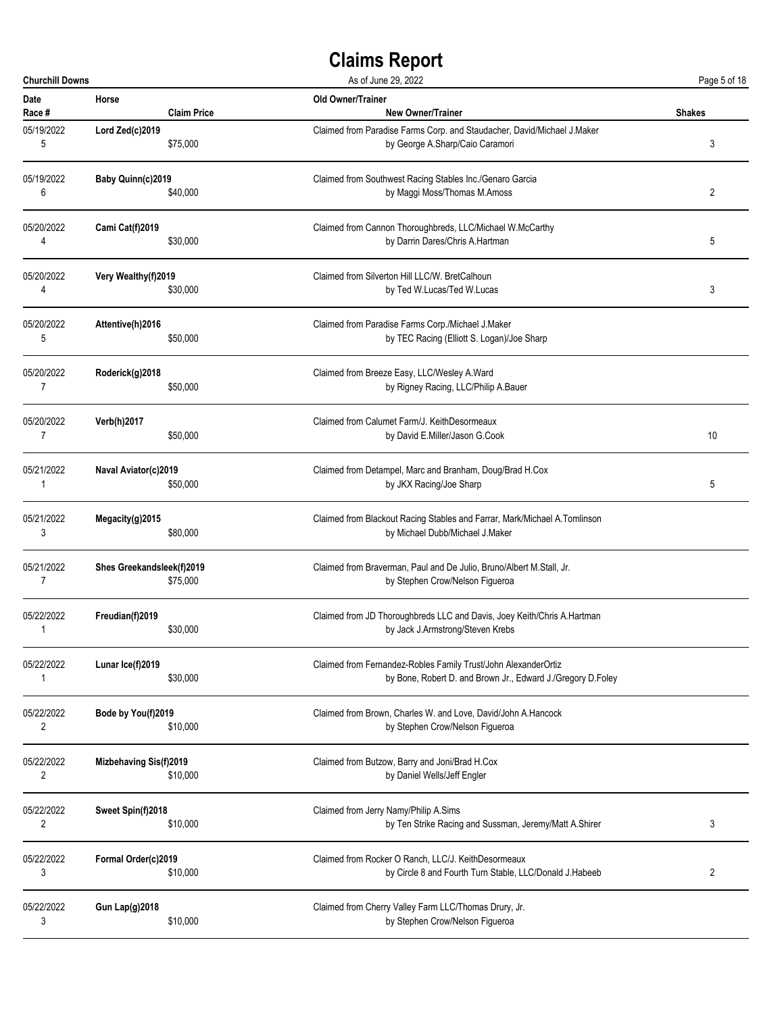| <b>Churchill Downs</b> |                               | As of June 29, 2022                                                       | Page 5 of 18  |
|------------------------|-------------------------------|---------------------------------------------------------------------------|---------------|
| <b>Date</b>            | Horse                         | <b>Old Owner/Trainer</b>                                                  | <b>Shakes</b> |
| Race #                 | <b>Claim Price</b>            | <b>New Owner/Trainer</b>                                                  |               |
| 05/19/2022             | Lord Zed(c)2019               | Claimed from Paradise Farms Corp. and Staudacher, David/Michael J.Maker   | 3             |
| 5                      | \$75,000                      | by George A.Sharp/Caio Caramori                                           |               |
| 05/19/2022             | Baby Quinn(c)2019             | Claimed from Southwest Racing Stables Inc./Genaro Garcia                  | 2             |
| 6                      | \$40,000                      | by Maggi Moss/Thomas M.Amoss                                              |               |
| 05/20/2022             | Cami Cat(f)2019               | Claimed from Cannon Thoroughbreds, LLC/Michael W.McCarthy                 | 5             |
| 4                      | \$30,000                      | by Darrin Dares/Chris A.Hartman                                           |               |
| 05/20/2022             | Very Wealthy(f)2019           | Claimed from Silverton Hill LLC/W. BretCalhoun                            | 3             |
| 4                      | \$30,000                      | by Ted W.Lucas/Ted W.Lucas                                                |               |
| 05/20/2022             | Attentive(h)2016              | Claimed from Paradise Farms Corp./Michael J.Maker                         |               |
| 5                      | \$50,000                      | by TEC Racing (Elliott S. Logan)/Joe Sharp                                |               |
| 05/20/2022             | Roderick(g)2018               | Claimed from Breeze Easy, LLC/Wesley A.Ward                               |               |
| $\overline{7}$         | \$50,000                      | by Rigney Racing, LLC/Philip A.Bauer                                      |               |
| 05/20/2022             | Verb(h)2017                   | Claimed from Calumet Farm/J. KeithDesormeaux                              | 10            |
| 7                      | \$50,000                      | by David E.Miller/Jason G.Cook                                            |               |
| 05/21/2022             | Naval Aviator(c)2019          | Claimed from Detampel, Marc and Branham, Doug/Brad H.Cox                  | 5             |
| 1                      | \$50,000                      | by JKX Racing/Joe Sharp                                                   |               |
| 05/21/2022             | Megacity(g)2015               | Claimed from Blackout Racing Stables and Farrar, Mark/Michael A.Tomlinson |               |
| 3                      | \$80,000                      | by Michael Dubb/Michael J.Maker                                           |               |
| 05/21/2022             | Shes Greekandsleek(f)2019     | Claimed from Braverman, Paul and De Julio, Bruno/Albert M.Stall, Jr.      |               |
| 7                      | \$75,000                      | by Stephen Crow/Nelson Figueroa                                           |               |
| 05/22/2022             | Freudian(f)2019               | Claimed from JD Thoroughbreds LLC and Davis, Joey Keith/Chris A.Hartman   |               |
| 1                      | \$30,000                      | by Jack J.Armstrong/Steven Krebs                                          |               |
| 05/22/2022             | Lunar Ice(f)2019              | Claimed from Fernandez-Robles Family Trust/John AlexanderOrtiz            |               |
| 1                      | \$30,000                      | by Bone, Robert D. and Brown Jr., Edward J./Gregory D.Foley               |               |
| 05/22/2022             | Bode by You(f)2019            | Claimed from Brown, Charles W. and Love, David/John A.Hancock             |               |
| $\overline{c}$         | \$10,000                      | by Stephen Crow/Nelson Figueroa                                           |               |
| 05/22/2022             | <b>Mizbehaving Sis(f)2019</b> | Claimed from Butzow, Barry and Joni/Brad H.Cox                            |               |
| 2                      | \$10,000                      | by Daniel Wells/Jeff Engler                                               |               |
| 05/22/2022             | Sweet Spin(f)2018             | Claimed from Jerry Namy/Philip A.Sims                                     | 3             |
| $\overline{2}$         | \$10,000                      | by Ten Strike Racing and Sussman, Jeremy/Matt A.Shirer                    |               |
| 05/22/2022             | Formal Order(c)2019           | Claimed from Rocker O Ranch, LLC/J. KeithDesormeaux                       | 2             |
| 3                      | \$10,000                      | by Circle 8 and Fourth Turn Stable, LLC/Donald J.Habeeb                   |               |
| 05/22/2022             | <b>Gun Lap(g)2018</b>         | Claimed from Cherry Valley Farm LLC/Thomas Drury, Jr.                     |               |
| 3                      | \$10,000                      | by Stephen Crow/Nelson Figueroa                                           |               |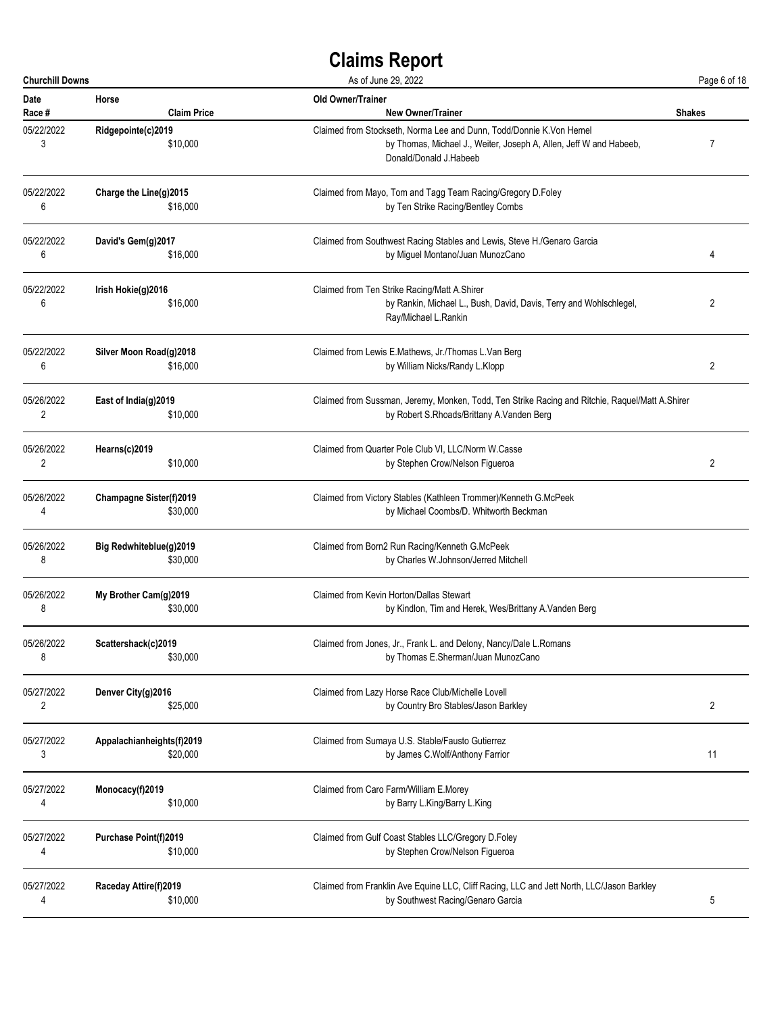| <b>Churchill Downs</b> |                                | As of June 29, 2022                                                                                                                                                 |               |
|------------------------|--------------------------------|---------------------------------------------------------------------------------------------------------------------------------------------------------------------|---------------|
| Date                   | Horse                          | Old Owner/Trainer                                                                                                                                                   | <b>Shakes</b> |
| Race #                 | <b>Claim Price</b>             | <b>New Owner/Trainer</b>                                                                                                                                            |               |
| 05/22/2022<br>3        | Ridgepointe(c)2019<br>\$10,000 | Claimed from Stockseth, Norma Lee and Dunn, Todd/Donnie K.Von Hemel<br>by Thomas, Michael J., Weiter, Joseph A, Allen, Jeff W and Habeeb,<br>Donald/Donald J.Habeeb | 7             |
| 05/22/2022             | Charge the Line(g)2015         | Claimed from Mayo, Tom and Tagg Team Racing/Gregory D.Foley                                                                                                         |               |
| 6                      | \$16,000                       | by Ten Strike Racing/Bentley Combs                                                                                                                                  |               |
| 05/22/2022             | David's Gem(g)2017             | Claimed from Southwest Racing Stables and Lewis, Steve H./Genaro Garcia                                                                                             | 4             |
| 6                      | \$16,000                       | by Miguel Montano/Juan MunozCano                                                                                                                                    |               |
| 05/22/2022<br>6        | Irish Hokie(g)2016<br>\$16,000 | Claimed from Ten Strike Racing/Matt A.Shirer<br>by Rankin, Michael L., Bush, David, Davis, Terry and Wohlschlegel,<br>Ray/Michael L.Rankin                          | 2             |
| 05/22/2022             | Silver Moon Road(g)2018        | Claimed from Lewis E.Mathews, Jr./Thomas L.Van Berg                                                                                                                 | 2             |
| 6                      | \$16,000                       | by William Nicks/Randy L.Klopp                                                                                                                                      |               |
| 05/26/2022             | East of India(g)2019           | Claimed from Sussman, Jeremy, Monken, Todd, Ten Strike Racing and Ritchie, Raquel/Matt A.Shirer                                                                     |               |
| 2                      | \$10,000                       | by Robert S.Rhoads/Brittany A.Vanden Berg                                                                                                                           |               |
| 05/26/2022             | Hearns(c)2019                  | Claimed from Quarter Pole Club VI, LLC/Norm W.Casse                                                                                                                 | 2             |
| 2                      | \$10,000                       | by Stephen Crow/Nelson Figueroa                                                                                                                                     |               |
| 05/26/2022             | <b>Champagne Sister(f)2019</b> | Claimed from Victory Stables (Kathleen Trommer)/Kenneth G.McPeek                                                                                                    |               |
| 4                      | \$30,000                       | by Michael Coombs/D. Whitworth Beckman                                                                                                                              |               |
| 05/26/2022             | Big Redwhiteblue(g)2019        | Claimed from Born2 Run Racing/Kenneth G.McPeek                                                                                                                      |               |
| 8                      | \$30,000                       | by Charles W.Johnson/Jerred Mitchell                                                                                                                                |               |
| 05/26/2022             | My Brother Cam(g)2019          | Claimed from Kevin Horton/Dallas Stewart                                                                                                                            |               |
| 8                      | \$30,000                       | by Kindlon, Tim and Herek, Wes/Brittany A. Vanden Berg                                                                                                              |               |
| 05/26/2022             | Scattershack(c)2019            | Claimed from Jones, Jr., Frank L. and Delony, Nancy/Dale L. Romans                                                                                                  |               |
| 8                      | \$30,000                       | by Thomas E.Sherman/Juan MunozCano                                                                                                                                  |               |
| 05/27/2022             | Denver City(g)2016             | Claimed from Lazy Horse Race Club/Michelle Lovell                                                                                                                   | 2             |
| 2                      | \$25,000                       | by Country Bro Stables/Jason Barkley                                                                                                                                |               |
| 05/27/2022             | Appalachianheights(f)2019      | Claimed from Sumaya U.S. Stable/Fausto Gutierrez                                                                                                                    | 11            |
| 3                      | \$20,000                       | by James C.Wolf/Anthony Farrior                                                                                                                                     |               |
| 05/27/2022             | Monocacy(f)2019                | Claimed from Caro Farm/William E.Morey                                                                                                                              |               |
| 4                      | \$10,000                       | by Barry L.King/Barry L.King                                                                                                                                        |               |
| 05/27/2022             | Purchase Point(f)2019          | Claimed from Gulf Coast Stables LLC/Gregory D.Foley                                                                                                                 |               |
| 4                      | \$10,000                       | by Stephen Crow/Nelson Figueroa                                                                                                                                     |               |
| 05/27/2022             | Raceday Attire(f)2019          | Claimed from Franklin Ave Equine LLC, Cliff Racing, LLC and Jett North, LLC/Jason Barkley                                                                           | 5             |
| 4                      | \$10,000                       | by Southwest Racing/Genaro Garcia                                                                                                                                   |               |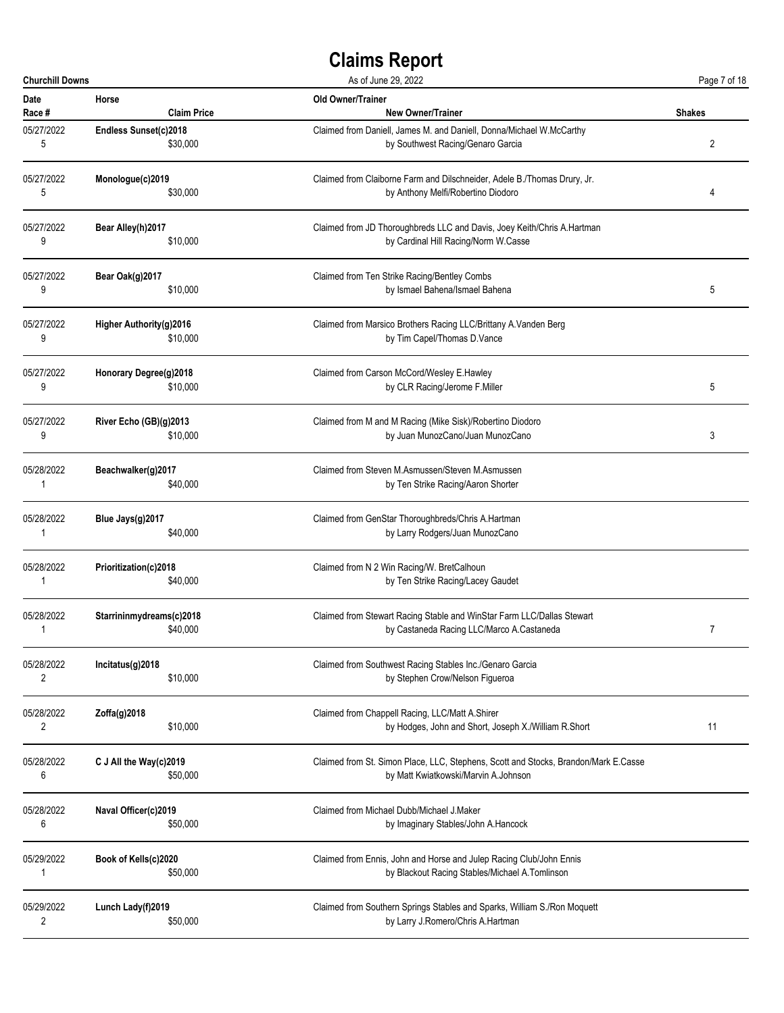| <b>Churchill Downs</b> |                          | As of June 29, 2022                                                                 |                |
|------------------------|--------------------------|-------------------------------------------------------------------------------------|----------------|
| <b>Date</b>            | Horse                    | <b>Old Owner/Trainer</b>                                                            | <b>Shakes</b>  |
| Race #                 | <b>Claim Price</b>       | <b>New Owner/Trainer</b>                                                            |                |
| 05/27/2022             | Endless Sunset(c)2018    | Claimed from Daniell, James M. and Daniell, Donna/Michael W.McCarthy                | $\overline{2}$ |
| 5                      | \$30,000                 | by Southwest Racing/Genaro Garcia                                                   |                |
| 05/27/2022             | Monologue(c)2019         | Claimed from Claiborne Farm and Dilschneider, Adele B./Thomas Drury, Jr.            | 4              |
| 5                      | \$30,000                 | by Anthony Melfi/Robertino Diodoro                                                  |                |
| 05/27/2022             | Bear Alley(h)2017        | Claimed from JD Thoroughbreds LLC and Davis, Joey Keith/Chris A.Hartman             |                |
| 9                      | \$10,000                 | by Cardinal Hill Racing/Norm W.Casse                                                |                |
| 05/27/2022             | Bear Oak(g)2017          | Claimed from Ten Strike Racing/Bentley Combs                                        | 5              |
| 9                      | \$10,000                 | by Ismael Bahena/Ismael Bahena                                                      |                |
| 05/27/2022             | Higher Authority(g)2016  | Claimed from Marsico Brothers Racing LLC/Brittany A. Vanden Berg                    |                |
| 9                      | \$10,000                 | by Tim Capel/Thomas D.Vance                                                         |                |
| 05/27/2022             | Honorary Degree(g)2018   | Claimed from Carson McCord/Wesley E.Hawley                                          | 5              |
| 9                      | \$10,000                 | by CLR Racing/Jerome F.Miller                                                       |                |
| 05/27/2022             | River Echo (GB)(g)2013   | Claimed from M and M Racing (Mike Sisk)/Robertino Diodoro                           | 3              |
| 9                      | \$10,000                 | by Juan MunozCano/Juan MunozCano                                                    |                |
| 05/28/2022             | Beachwalker(g)2017       | Claimed from Steven M.Asmussen/Steven M.Asmussen                                    |                |
| 1                      | \$40,000                 | by Ten Strike Racing/Aaron Shorter                                                  |                |
| 05/28/2022             | Blue Jays(g)2017         | Claimed from GenStar Thoroughbreds/Chris A.Hartman                                  |                |
| 1                      | \$40,000                 | by Larry Rodgers/Juan MunozCano                                                     |                |
| 05/28/2022             | Prioritization(c)2018    | Claimed from N 2 Win Racing/W. BretCalhoun                                          |                |
| 1                      | \$40,000                 | by Ten Strike Racing/Lacey Gaudet                                                   |                |
| 05/28/2022             | Starrininmydreams(c)2018 | Claimed from Stewart Racing Stable and WinStar Farm LLC/Dallas Stewart              | $\overline{7}$ |
| 1                      | \$40,000                 | by Castaneda Racing LLC/Marco A.Castaneda                                           |                |
| 05/28/2022             | Incitatus(g)2018         | Claimed from Southwest Racing Stables Inc./Genaro Garcia                            |                |
| 2                      | \$10,000                 | by Stephen Crow/Nelson Figueroa                                                     |                |
| 05/28/2022             | Zoffa(g)2018             | Claimed from Chappell Racing, LLC/Matt A.Shirer                                     | 11             |
| 2                      | \$10,000                 | by Hodges, John and Short, Joseph X./William R.Short                                |                |
| 05/28/2022             | C J All the Way(c)2019   | Claimed from St. Simon Place, LLC, Stephens, Scott and Stocks, Brandon/Mark E.Casse |                |
| 6                      | \$50,000                 | by Matt Kwiatkowski/Marvin A.Johnson                                                |                |
| 05/28/2022             | Naval Officer(c)2019     | Claimed from Michael Dubb/Michael J.Maker                                           |                |
| 6                      | \$50,000                 | by Imaginary Stables/John A.Hancock                                                 |                |
| 05/29/2022             | Book of Kells(c)2020     | Claimed from Ennis, John and Horse and Julep Racing Club/John Ennis                 |                |
| 1                      | \$50,000                 | by Blackout Racing Stables/Michael A.Tomlinson                                      |                |
| 05/29/2022             | Lunch Lady(f)2019        | Claimed from Southern Springs Stables and Sparks, William S./Ron Moquett            |                |
| 2                      | \$50,000                 | by Larry J.Romero/Chris A.Hartman                                                   |                |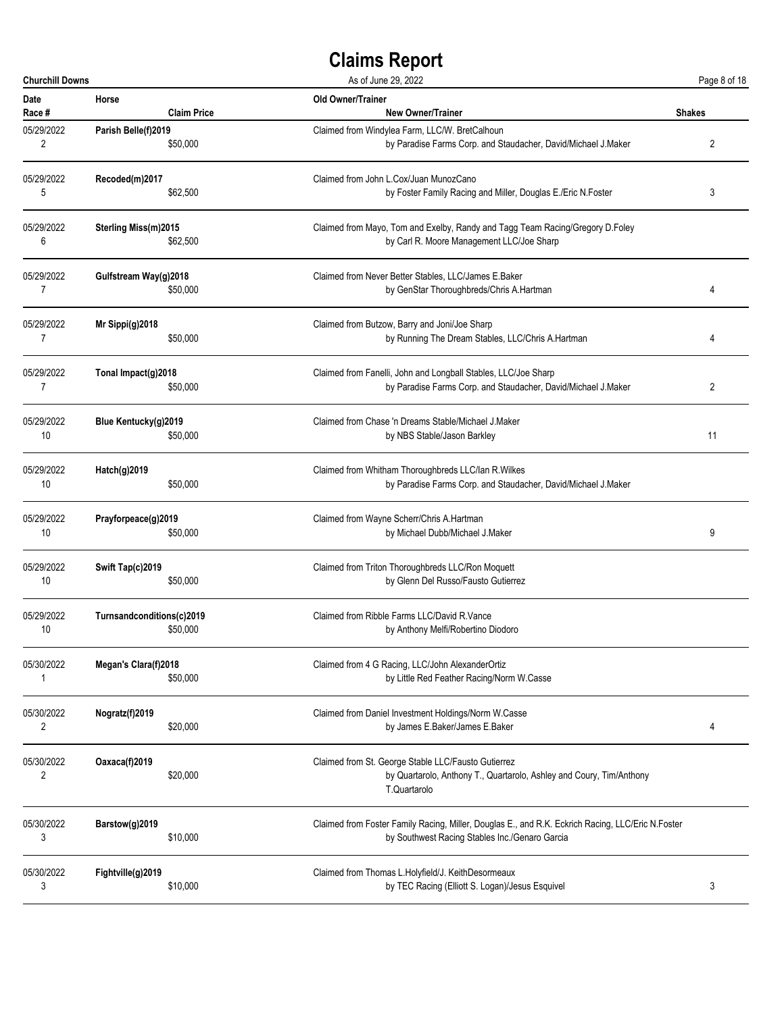| <b>Churchill Downs</b>       |                           | As of June 29, 2022                                                                                                                         | Page 8 of 18  |
|------------------------------|---------------------------|---------------------------------------------------------------------------------------------------------------------------------------------|---------------|
| <b>Date</b>                  | Horse                     | Old Owner/Trainer                                                                                                                           | <b>Shakes</b> |
| Race #                       | <b>Claim Price</b>        | <b>New Owner/Trainer</b>                                                                                                                    |               |
| 05/29/2022                   | Parish Belle(f)2019       | Claimed from Windylea Farm, LLC/W. BretCalhoun                                                                                              | 2             |
| $\overline{2}$               | \$50,000                  | by Paradise Farms Corp. and Staudacher, David/Michael J.Maker                                                                               |               |
| 05/29/2022                   | Recoded(m)2017            | Claimed from John L.Cox/Juan MunozCano                                                                                                      | 3             |
| 5                            | \$62,500                  | by Foster Family Racing and Miller, Douglas E./Eric N.Foster                                                                                |               |
| 05/29/2022                   | Sterling Miss(m)2015      | Claimed from Mayo, Tom and Exelby, Randy and Tagg Team Racing/Gregory D.Foley                                                               |               |
| 6                            | \$62,500                  | by Carl R. Moore Management LLC/Joe Sharp                                                                                                   |               |
| 05/29/2022                   | Gulfstream Way(g)2018     | Claimed from Never Better Stables, LLC/James E.Baker                                                                                        | 4             |
| 7                            | \$50,000                  | by GenStar Thoroughbreds/Chris A.Hartman                                                                                                    |               |
| 05/29/2022                   | Mr Sippi(g)2018           | Claimed from Butzow, Barry and Joni/Joe Sharp                                                                                               | 4             |
| 7                            | \$50,000                  | by Running The Dream Stables, LLC/Chris A.Hartman                                                                                           |               |
| 05/29/2022                   | Tonal Impact(g)2018       | Claimed from Fanelli, John and Longball Stables, LLC/Joe Sharp                                                                              | 2             |
| 7                            | \$50,000                  | by Paradise Farms Corp. and Staudacher, David/Michael J.Maker                                                                               |               |
| 05/29/2022                   | Blue Kentucky(g)2019      | Claimed from Chase 'n Dreams Stable/Michael J. Maker                                                                                        | 11            |
| 10                           | \$50,000                  | by NBS Stable/Jason Barkley                                                                                                                 |               |
| 05/29/2022                   | Hatch(g)2019              | Claimed from Whitham Thoroughbreds LLC/lan R. Wilkes                                                                                        |               |
| 10                           | \$50,000                  | by Paradise Farms Corp. and Staudacher, David/Michael J.Maker                                                                               |               |
| 05/29/2022                   | Prayforpeace(g)2019       | Claimed from Wayne Scherr/Chris A.Hartman                                                                                                   | 9             |
| 10                           | \$50,000                  | by Michael Dubb/Michael J.Maker                                                                                                             |               |
| 05/29/2022                   | Swift Tap(c)2019          | Claimed from Triton Thoroughbreds LLC/Ron Moquett                                                                                           |               |
| 10                           | \$50,000                  | by Glenn Del Russo/Fausto Gutierrez                                                                                                         |               |
| 05/29/2022                   | Turnsandconditions(c)2019 | Claimed from Ribble Farms LLC/David R.Vance                                                                                                 |               |
| 10                           | \$50,000                  | by Anthony Melfi/Robertino Diodoro                                                                                                          |               |
| 05/30/2022                   | Megan's Clara(f)2018      | Claimed from 4 G Racing, LLC/John AlexanderOrtiz                                                                                            |               |
| 1                            | \$50,000                  | by Little Red Feather Racing/Norm W.Casse                                                                                                   |               |
| 05/30/2022                   | Nogratz(f)2019            | Claimed from Daniel Investment Holdings/Norm W.Casse                                                                                        | 4             |
| $\overline{2}$               | \$20,000                  | by James E.Baker/James E.Baker                                                                                                              |               |
| 05/30/2022<br>$\overline{2}$ | Oaxaca(f)2019<br>\$20,000 | Claimed from St. George Stable LLC/Fausto Gutierrez<br>by Quartarolo, Anthony T., Quartarolo, Ashley and Coury, Tim/Anthony<br>T.Quartarolo |               |
| 05/30/2022                   | Barstow(g)2019            | Claimed from Foster Family Racing, Miller, Douglas E., and R.K. Eckrich Racing, LLC/Eric N.Foster                                           |               |
| 3                            | \$10,000                  | by Southwest Racing Stables Inc./Genaro Garcia                                                                                              |               |
| 05/30/2022                   | Fightville(g)2019         | Claimed from Thomas L.Holyfield/J. KeithDesormeaux                                                                                          | 3             |
| 3                            | \$10,000                  | by TEC Racing (Elliott S. Logan)/Jesus Esquivel                                                                                             |               |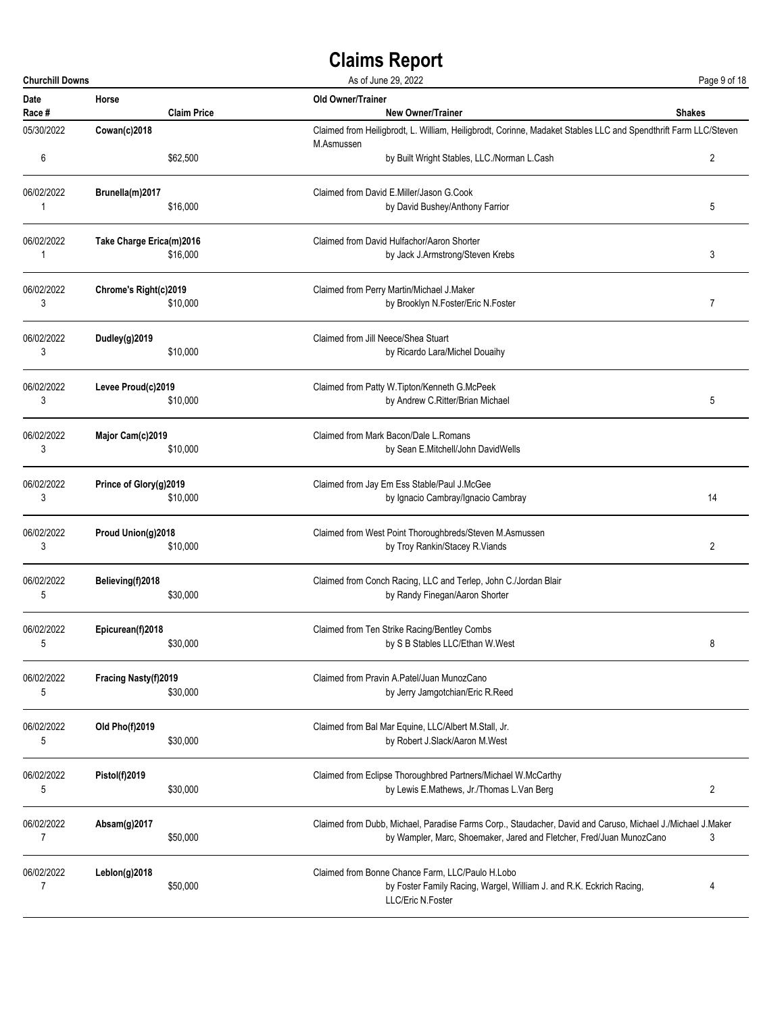| <b>Churchill Downs</b> |                          |                    | As of June 29, 2022                                                                                             | Page 9 of 18   |
|------------------------|--------------------------|--------------------|-----------------------------------------------------------------------------------------------------------------|----------------|
| Date<br>Race #         | Horse                    | <b>Claim Price</b> | Old Owner/Trainer<br><b>New Owner/Trainer</b>                                                                   | <b>Shakes</b>  |
| 05/30/2022             | Cowan(c)2018             |                    | Claimed from Heiligbrodt, L. William, Heiligbrodt, Corinne, Madaket Stables LLC and Spendthrift Farm LLC/Steven |                |
| 6                      |                          | \$62,500           | M.Asmussen<br>by Built Wright Stables, LLC./Norman L.Cash                                                       | $\overline{2}$ |
| 06/02/2022             | Brunella(m)2017          |                    | Claimed from David E.Miller/Jason G.Cook                                                                        |                |
| 1                      |                          | \$16,000           | by David Bushey/Anthony Farrior                                                                                 | 5              |
| 06/02/2022             | Take Charge Erica(m)2016 |                    | Claimed from David Hulfachor/Aaron Shorter                                                                      |                |
| 1                      |                          | \$16,000           | by Jack J.Armstrong/Steven Krebs                                                                                | 3              |
| 06/02/2022             | Chrome's Right(c)2019    |                    | Claimed from Perry Martin/Michael J.Maker                                                                       |                |
| 3                      |                          | \$10,000           | by Brooklyn N.Foster/Eric N.Foster                                                                              | 7              |
| 06/02/2022             | Dudley(g)2019            |                    | Claimed from Jill Neece/Shea Stuart                                                                             |                |
| 3                      |                          | \$10,000           | by Ricardo Lara/Michel Douaihy                                                                                  |                |
| 06/02/2022             | Levee Proud(c)2019       |                    | Claimed from Patty W. Tipton/Kenneth G. McPeek                                                                  |                |
| 3                      |                          | \$10,000           | by Andrew C.Ritter/Brian Michael                                                                                | 5              |
| 06/02/2022             | Major Cam(c)2019         |                    | Claimed from Mark Bacon/Dale L.Romans                                                                           |                |
| 3                      |                          | \$10,000           | by Sean E.Mitchell/John DavidWells                                                                              |                |
| 06/02/2022             | Prince of Glory(g)2019   |                    | Claimed from Jay Em Ess Stable/Paul J.McGee                                                                     |                |
| 3                      |                          | \$10,000           | by Ignacio Cambray/Ignacio Cambray                                                                              | 14             |
| 06/02/2022             | Proud Union(g)2018       |                    | Claimed from West Point Thoroughbreds/Steven M.Asmussen                                                         |                |
| 3                      |                          | \$10,000           | by Troy Rankin/Stacey R.Viands                                                                                  | $\overline{2}$ |
| 06/02/2022             | Believing(f)2018         |                    | Claimed from Conch Racing, LLC and Terlep, John C./Jordan Blair                                                 |                |
| 5                      |                          | \$30,000           | by Randy Finegan/Aaron Shorter                                                                                  |                |
| 06/02/2022             | Epicurean(f)2018         |                    | Claimed from Ten Strike Racing/Bentley Combs                                                                    |                |
| 5                      |                          | \$30,000           | by S B Stables LLC/Ethan W.West                                                                                 | 8              |
| 06/02/2022             | Fracing Nasty(f)2019     |                    | Claimed from Pravin A.Patel/Juan MunozCano                                                                      |                |
| 5                      |                          | \$30,000           | by Jerry Jamgotchian/Eric R.Reed                                                                                |                |
| 06/02/2022             | Old Pho(f)2019           |                    | Claimed from Bal Mar Equine, LLC/Albert M.Stall, Jr.                                                            |                |
| 5                      |                          | \$30,000           | by Robert J.Slack/Aaron M.West                                                                                  |                |
| 06/02/2022             | Pistol(f)2019            |                    | Claimed from Eclipse Thoroughbred Partners/Michael W.McCarthy                                                   |                |
| 5                      |                          | \$30,000           | by Lewis E.Mathews, Jr./Thomas L.Van Berg                                                                       | 2              |
| 06/02/2022             | Absam(g)2017             |                    | Claimed from Dubb, Michael, Paradise Farms Corp., Staudacher, David and Caruso, Michael J./Michael J.Maker      |                |
| $\overline{7}$         |                          | \$50,000           | by Wampler, Marc, Shoemaker, Jared and Fletcher, Fred/Juan MunozCano                                            | 3              |
| 06/02/2022             | Leblon(g)2018            |                    | Claimed from Bonne Chance Farm, LLC/Paulo H.Lobo                                                                |                |
| 7                      |                          | \$50,000           | by Foster Family Racing, Wargel, William J. and R.K. Eckrich Racing,<br>LLC/Eric N.Foster                       | 4              |
|                        |                          |                    |                                                                                                                 |                |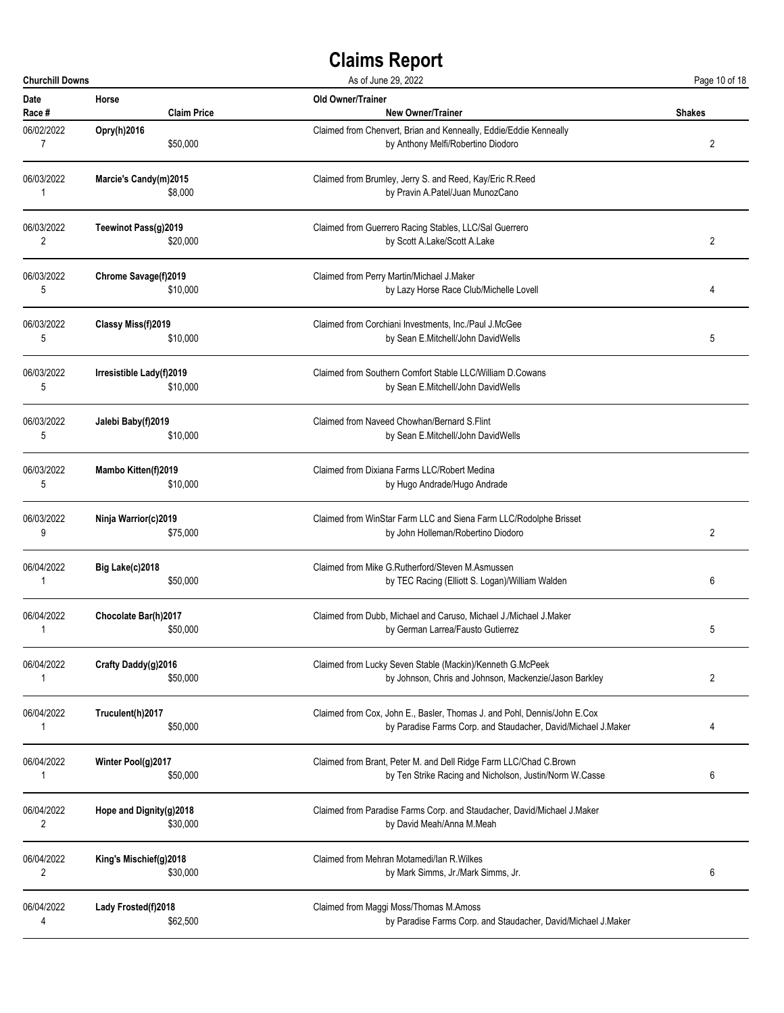| <b>Churchill Downs</b> |                          | As of June 29, 2022                                                      |                |
|------------------------|--------------------------|--------------------------------------------------------------------------|----------------|
| Date                   | Horse                    | Old Owner/Trainer                                                        | <b>Shakes</b>  |
| Race #                 | <b>Claim Price</b>       | <b>New Owner/Trainer</b>                                                 |                |
| 06/02/2022             | Opry(h)2016              | Claimed from Chenvert, Brian and Kenneally, Eddie/Eddie Kenneally        | 2              |
| $\overline{7}$         | \$50,000                 | by Anthony Melfi/Robertino Diodoro                                       |                |
| 06/03/2022             | Marcie's Candy(m)2015    | Claimed from Brumley, Jerry S. and Reed, Kay/Eric R.Reed                 |                |
| 1                      | \$8,000                  | by Pravin A.Patel/Juan MunozCano                                         |                |
| 06/03/2022             | Teewinot Pass(g)2019     | Claimed from Guerrero Racing Stables, LLC/Sal Guerrero                   | $\overline{2}$ |
| 2                      | \$20,000                 | by Scott A.Lake/Scott A.Lake                                             |                |
| 06/03/2022             | Chrome Savage(f)2019     | Claimed from Perry Martin/Michael J.Maker                                | 4              |
| 5                      | \$10,000                 | by Lazy Horse Race Club/Michelle Lovell                                  |                |
| 06/03/2022             | Classy Miss(f)2019       | Claimed from Corchiani Investments, Inc./Paul J.McGee                    | 5              |
| 5                      | \$10,000                 | by Sean E.Mitchell/John DavidWells                                       |                |
| 06/03/2022             | Irresistible Lady(f)2019 | Claimed from Southern Comfort Stable LLC/William D.Cowans                |                |
| 5                      | \$10,000                 | by Sean E.Mitchell/John DavidWells                                       |                |
| 06/03/2022             | Jalebi Baby(f)2019       | Claimed from Naveed Chowhan/Bernard S.Flint                              |                |
| 5                      | \$10,000                 | by Sean E.Mitchell/John DavidWells                                       |                |
| 06/03/2022             | Mambo Kitten(f)2019      | Claimed from Dixiana Farms LLC/Robert Medina                             |                |
| 5                      | \$10,000                 | by Hugo Andrade/Hugo Andrade                                             |                |
| 06/03/2022             | Ninja Warrior(c)2019     | Claimed from WinStar Farm LLC and Siena Farm LLC/Rodolphe Brisset        | 2              |
| 9                      | \$75,000                 | by John Holleman/Robertino Diodoro                                       |                |
| 06/04/2022             | Big Lake(c)2018          | Claimed from Mike G.Rutherford/Steven M.Asmussen                         | 6              |
| 1                      | \$50,000                 | by TEC Racing (Elliott S. Logan)/William Walden                          |                |
| 06/04/2022             | Chocolate Bar(h)2017     | Claimed from Dubb, Michael and Caruso, Michael J./Michael J.Maker        | 5              |
| 1                      | \$50,000                 | by German Larrea/Fausto Gutierrez                                        |                |
| 06/04/2022             | Crafty Daddy(g)2016      | Claimed from Lucky Seven Stable (Mackin)/Kenneth G.McPeek                | 2              |
| 1                      | \$50,000                 | by Johnson, Chris and Johnson, Mackenzie/Jason Barkley                   |                |
| 06/04/2022             | Truculent(h)2017         | Claimed from Cox, John E., Basler, Thomas J. and Pohl, Dennis/John E.Cox | 4              |
| 1                      | \$50,000                 | by Paradise Farms Corp. and Staudacher, David/Michael J.Maker            |                |
| 06/04/2022             | Winter Pool(g)2017       | Claimed from Brant, Peter M. and Dell Ridge Farm LLC/Chad C.Brown        | 6              |
| 1                      | \$50,000                 | by Ten Strike Racing and Nicholson, Justin/Norm W.Casse                  |                |
| 06/04/2022             | Hope and Dignity(g)2018  | Claimed from Paradise Farms Corp. and Staudacher, David/Michael J.Maker  |                |
| $\overline{2}$         | \$30,000                 | by David Meah/Anna M.Meah                                                |                |
| 06/04/2022             | King's Mischief(g)2018   | Claimed from Mehran Motamedi/lan R. Wilkes                               | 6              |
| 2                      | \$30,000                 | by Mark Simms, Jr./Mark Simms, Jr.                                       |                |
| 06/04/2022             | Lady Frosted(f)2018      | Claimed from Maggi Moss/Thomas M.Amoss                                   |                |
| 4                      | \$62,500                 | by Paradise Farms Corp. and Staudacher, David/Michael J.Maker            |                |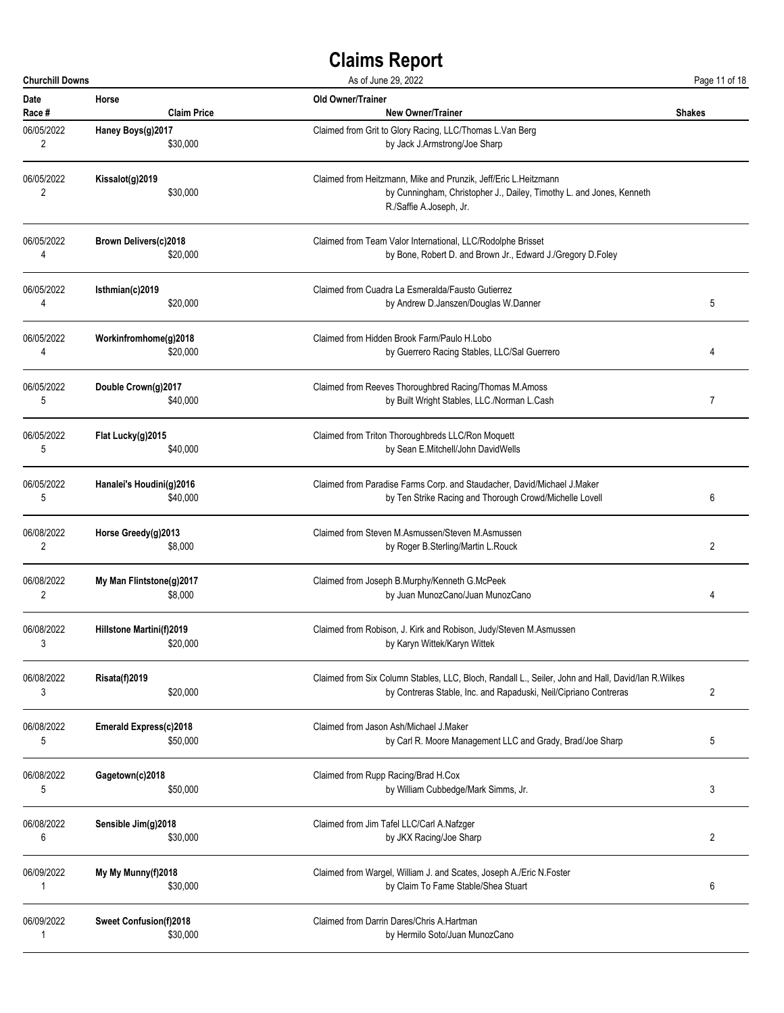| <b>Churchill Downs</b> |                                      | As of June 29, 2022                                                                                                                                                | Page 11 of 18  |
|------------------------|--------------------------------------|--------------------------------------------------------------------------------------------------------------------------------------------------------------------|----------------|
| Date                   | Horse                                | Old Owner/Trainer                                                                                                                                                  | <b>Shakes</b>  |
| Race #                 | <b>Claim Price</b>                   | <b>New Owner/Trainer</b>                                                                                                                                           |                |
| 06/05/2022             | Haney Boys(g)2017                    | Claimed from Grit to Glory Racing, LLC/Thomas L.Van Berg                                                                                                           |                |
| $\overline{2}$         | \$30,000                             | by Jack J.Armstrong/Joe Sharp                                                                                                                                      |                |
| 06/05/2022<br>2        | Kissalot(g)2019<br>\$30,000          | Claimed from Heitzmann, Mike and Prunzik, Jeff/Eric L.Heitzmann<br>by Cunningham, Christopher J., Dailey, Timothy L. and Jones, Kenneth<br>R./Saffie A.Joseph, Jr. |                |
| 06/05/2022             | <b>Brown Delivers(c)2018</b>         | Claimed from Team Valor International, LLC/Rodolphe Brisset                                                                                                        |                |
| 4                      | \$20,000                             | by Bone, Robert D. and Brown Jr., Edward J./Gregory D.Foley                                                                                                        |                |
| 06/05/2022             | Isthmian(c)2019                      | Claimed from Cuadra La Esmeralda/Fausto Gutierrez                                                                                                                  | 5              |
| 4                      | \$20,000                             | by Andrew D.Janszen/Douglas W.Danner                                                                                                                               |                |
| 06/05/2022             | Workinfromhome(g)2018                | Claimed from Hidden Brook Farm/Paulo H.Lobo                                                                                                                        | 4              |
| 4                      | \$20,000                             | by Guerrero Racing Stables, LLC/Sal Guerrero                                                                                                                       |                |
| 06/05/2022             | Double Crown(g)2017                  | Claimed from Reeves Thoroughbred Racing/Thomas M.Amoss                                                                                                             | 7              |
| 5                      | \$40,000                             | by Built Wright Stables, LLC./Norman L.Cash                                                                                                                        |                |
| 06/05/2022             | Flat Lucky(g)2015                    | Claimed from Triton Thoroughbreds LLC/Ron Moquett                                                                                                                  |                |
| 5                      | \$40,000                             | by Sean E.Mitchell/John DavidWells                                                                                                                                 |                |
| 06/05/2022             | Hanalei's Houdini(g)2016             | Claimed from Paradise Farms Corp. and Staudacher, David/Michael J.Maker                                                                                            | 6              |
| 5                      | \$40,000                             | by Ten Strike Racing and Thorough Crowd/Michelle Lovell                                                                                                            |                |
| 06/08/2022             | Horse Greedy(g)2013                  | Claimed from Steven M.Asmussen/Steven M.Asmussen                                                                                                                   | $\overline{c}$ |
| 2                      | \$8,000                              | by Roger B.Sterling/Martin L.Rouck                                                                                                                                 |                |
| 06/08/2022             | My Man Flintstone(g)2017             | Claimed from Joseph B.Murphy/Kenneth G.McPeek                                                                                                                      | 4              |
| 2                      | \$8,000                              | by Juan MunozCano/Juan MunozCano                                                                                                                                   |                |
| 06/08/2022             | Hillstone Martini(f)2019<br>\$20,000 | Claimed from Robison, J. Kirk and Robison, Judy/Steven M.Asmussen<br>by Karyn Wittek/Karyn Wittek                                                                  |                |
| 06/08/2022             | <b>Risata(f)2019</b>                 | Claimed from Six Column Stables, LLC, Bloch, Randall L., Seiler, John and Hall, David/lan R.Wilkes                                                                 | 2              |
| 3                      | \$20,000                             | by Contreras Stable, Inc. and Rapaduski, Neil/Cipriano Contreras                                                                                                   |                |
| 06/08/2022             | Emerald Express(c)2018               | Claimed from Jason Ash/Michael J.Maker                                                                                                                             | 5              |
| 5                      | \$50,000                             | by Carl R. Moore Management LLC and Grady, Brad/Joe Sharp                                                                                                          |                |
| 06/08/2022             | Gagetown(c)2018                      | Claimed from Rupp Racing/Brad H.Cox                                                                                                                                | 3              |
| 5                      | \$50,000                             | by William Cubbedge/Mark Simms, Jr.                                                                                                                                |                |
| 06/08/2022             | Sensible Jim(g)2018                  | Claimed from Jim Tafel LLC/Carl A.Nafzger                                                                                                                          | 2              |
| 6                      | \$30,000                             | by JKX Racing/Joe Sharp                                                                                                                                            |                |
| 06/09/2022             | My My Munny(f)2018                   | Claimed from Wargel, William J. and Scates, Joseph A./Eric N.Foster                                                                                                | 6              |
| 1                      | \$30,000                             | by Claim To Fame Stable/Shea Stuart                                                                                                                                |                |
| 06/09/2022             | <b>Sweet Confusion(f)2018</b>        | Claimed from Darrin Dares/Chris A.Hartman                                                                                                                          |                |
| 1                      | \$30,000                             | by Hermilo Soto/Juan MunozCano                                                                                                                                     |                |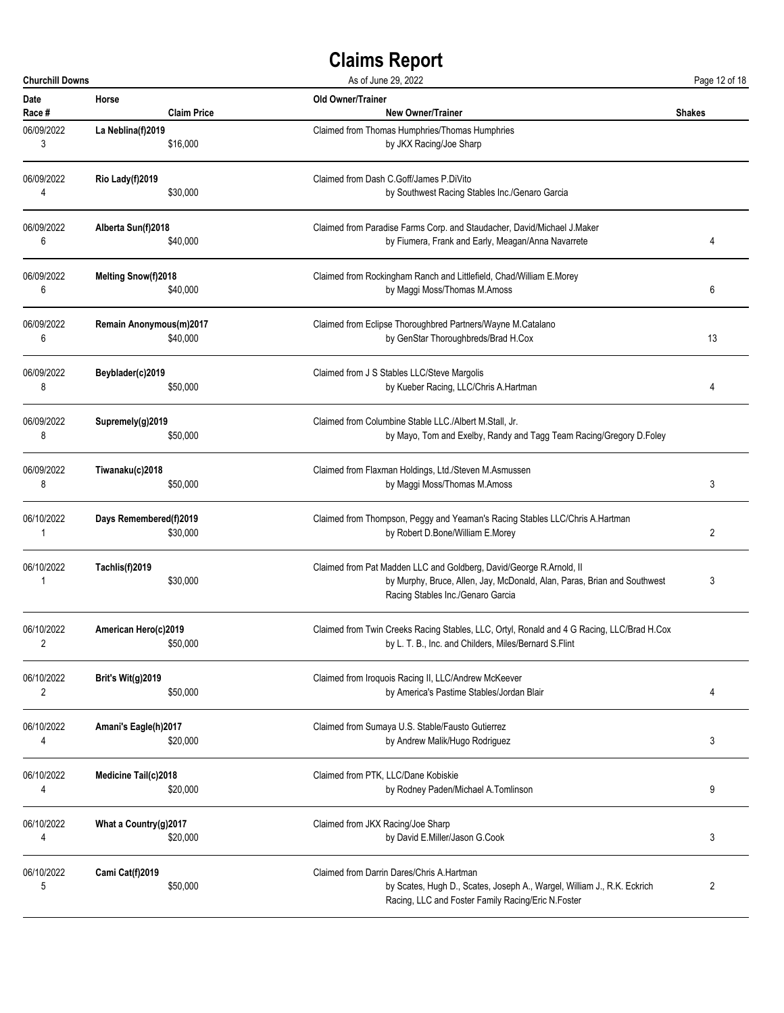| <b>Churchill Downs</b> |                                    | As of June 29, 2022                                                                                                                                                                  | Page 12 of 18 |
|------------------------|------------------------------------|--------------------------------------------------------------------------------------------------------------------------------------------------------------------------------------|---------------|
| Date                   | Horse                              | Old Owner/Trainer                                                                                                                                                                    | <b>Shakes</b> |
| Race #                 | <b>Claim Price</b>                 | <b>New Owner/Trainer</b>                                                                                                                                                             |               |
| 06/09/2022             | La Neblina(f)2019                  | Claimed from Thomas Humphries/Thomas Humphries                                                                                                                                       |               |
| 3                      | \$16,000                           | by JKX Racing/Joe Sharp                                                                                                                                                              |               |
| 06/09/2022             | Rio Lady(f)2019                    | Claimed from Dash C.Goff/James P.DiVito                                                                                                                                              |               |
| 4                      | \$30,000                           | by Southwest Racing Stables Inc./Genaro Garcia                                                                                                                                       |               |
| 06/09/2022             | Alberta Sun(f)2018                 | Claimed from Paradise Farms Corp. and Staudacher, David/Michael J.Maker                                                                                                              | 4             |
| 6                      | \$40,000                           | by Fiumera, Frank and Early, Meagan/Anna Navarrete                                                                                                                                   |               |
| 06/09/2022             | <b>Melting Snow(f)2018</b>         | Claimed from Rockingham Ranch and Littlefield, Chad/William E.Morey                                                                                                                  | 6             |
| 6                      | \$40,000                           | by Maggi Moss/Thomas M.Amoss                                                                                                                                                         |               |
| 06/09/2022             | Remain Anonymous(m)2017            | Claimed from Eclipse Thoroughbred Partners/Wayne M.Catalano                                                                                                                          | 13            |
| 6                      | \$40,000                           | by GenStar Thoroughbreds/Brad H.Cox                                                                                                                                                  |               |
| 06/09/2022             | Beyblader(c)2019                   | Claimed from J S Stables LLC/Steve Margolis                                                                                                                                          | 4             |
| 8                      | \$50,000                           | by Kueber Racing, LLC/Chris A.Hartman                                                                                                                                                |               |
| 06/09/2022             | Supremely(g)2019                   | Claimed from Columbine Stable LLC./Albert M.Stall, Jr.                                                                                                                               |               |
| 8                      | \$50,000                           | by Mayo, Tom and Exelby, Randy and Tagg Team Racing/Gregory D.Foley                                                                                                                  |               |
| 06/09/2022             | Tiwanaku(c)2018                    | Claimed from Flaxman Holdings, Ltd./Steven M.Asmussen                                                                                                                                | 3             |
| 8                      | \$50,000                           | by Maggi Moss/Thomas M.Amoss                                                                                                                                                         |               |
| 06/10/2022             | Days Remembered(f)2019<br>\$30,000 | Claimed from Thompson, Peggy and Yeaman's Racing Stables LLC/Chris A.Hartman<br>by Robert D.Bone/William E.Morey                                                                     | 2             |
| 06/10/2022<br>1        | Tachlis(f)2019<br>\$30,000         | Claimed from Pat Madden LLC and Goldberg, David/George R.Arnold, II<br>by Murphy, Bruce, Allen, Jay, McDonald, Alan, Paras, Brian and Southwest<br>Racing Stables Inc./Genaro Garcia | 3             |
| 06/10/2022             | American Hero(c)2019<br>\$50,000   | Claimed from Twin Creeks Racing Stables, LLC, Ortyl, Ronald and 4 G Racing, LLC/Brad H.Cox<br>by L. T. B., Inc. and Childers, Miles/Bernard S.Flint                                  |               |
| 06/10/2022             | <b>Brit's Wit(g)2019</b>           | Claimed from Iroquois Racing II, LLC/Andrew McKeever                                                                                                                                 | 4             |
| 2                      | \$50,000                           | by America's Pastime Stables/Jordan Blair                                                                                                                                            |               |
| 06/10/2022             | Amani's Eagle(h)2017               | Claimed from Sumaya U.S. Stable/Fausto Gutierrez                                                                                                                                     | 3             |
| 4                      | \$20,000                           | by Andrew Malik/Hugo Rodriguez                                                                                                                                                       |               |
| 06/10/2022             | Medicine Tail(c)2018               | Claimed from PTK, LLC/Dane Kobiskie                                                                                                                                                  | 9             |
| 4                      | \$20,000                           | by Rodney Paden/Michael A.Tomlinson                                                                                                                                                  |               |
| 06/10/2022             | What a Country(g)2017              | Claimed from JKX Racing/Joe Sharp                                                                                                                                                    | 3             |
| 4                      | \$20,000                           | by David E.Miller/Jason G.Cook                                                                                                                                                       |               |
| 06/10/2022<br>5        | Cami Cat(f)2019<br>\$50,000        | Claimed from Darrin Dares/Chris A.Hartman<br>by Scates, Hugh D., Scates, Joseph A., Wargel, William J., R.K. Eckrich<br>Racing, LLC and Foster Family Racing/Eric N.Foster           | 2             |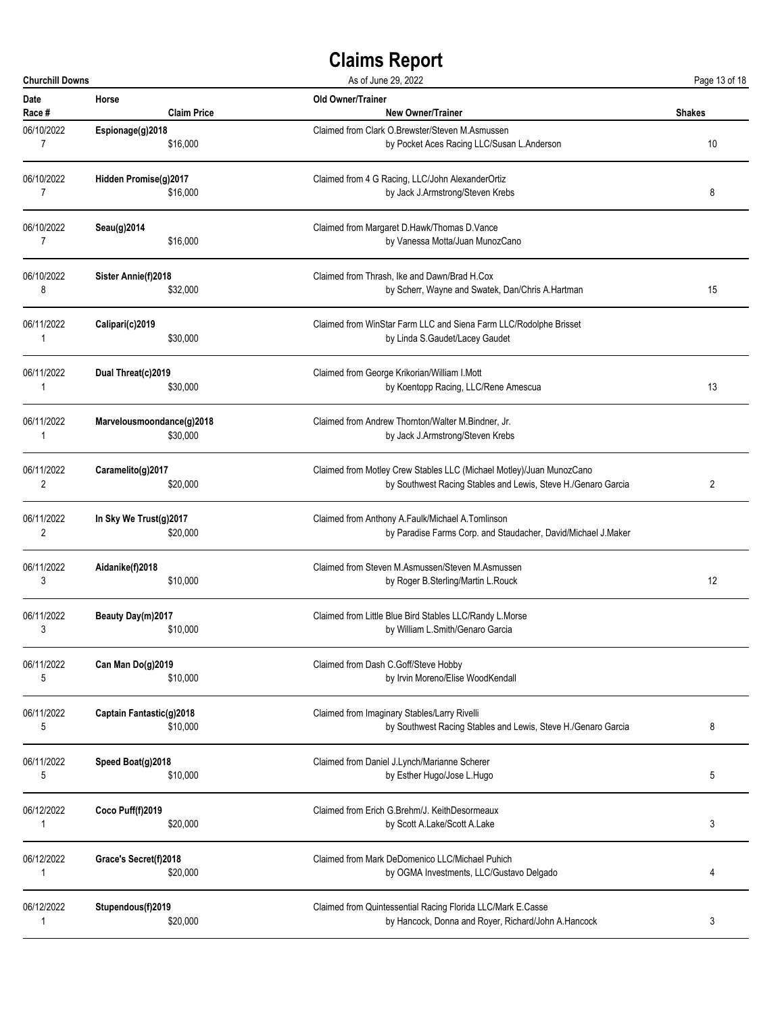| <b>Churchill Downs</b> |                           | As of June 29, 2022                                                  | Page 13 of 18  |
|------------------------|---------------------------|----------------------------------------------------------------------|----------------|
| Date                   | Horse                     | Old Owner/Trainer                                                    | <b>Shakes</b>  |
| Race #                 | <b>Claim Price</b>        | <b>New Owner/Trainer</b>                                             |                |
| 06/10/2022             | Espionage(g)2018          | Claimed from Clark O.Brewster/Steven M.Asmussen                      | 10             |
| 7                      | \$16,000                  | by Pocket Aces Racing LLC/Susan L.Anderson                           |                |
| 06/10/2022             | Hidden Promise(g)2017     | Claimed from 4 G Racing, LLC/John AlexanderOrtiz                     | 8              |
| 7                      | \$16,000                  | by Jack J.Armstrong/Steven Krebs                                     |                |
| 06/10/2022             | Seau(g)2014               | Claimed from Margaret D.Hawk/Thomas D.Vance                          |                |
| 7                      | \$16,000                  | by Vanessa Motta/Juan MunozCano                                      |                |
| 06/10/2022             | Sister Annie(f)2018       | Claimed from Thrash, Ike and Dawn/Brad H.Cox                         | 15             |
| 8                      | \$32,000                  | by Scherr, Wayne and Swatek, Dan/Chris A.Hartman                     |                |
| 06/11/2022             | Calipari(c)2019           | Claimed from WinStar Farm LLC and Siena Farm LLC/Rodolphe Brisset    |                |
| 1                      | \$30,000                  | by Linda S.Gaudet/Lacey Gaudet                                       |                |
| 06/11/2022             | Dual Threat(c)2019        | Claimed from George Krikorian/William I.Mott                         | 13             |
| 1                      | \$30,000                  | by Koentopp Racing, LLC/Rene Amescua                                 |                |
| 06/11/2022             | Marvelousmoondance(g)2018 | Claimed from Andrew Thornton/Walter M.Bindner, Jr.                   |                |
| 1                      | \$30,000                  | by Jack J.Armstrong/Steven Krebs                                     |                |
| 06/11/2022             | Caramelito(g)2017         | Claimed from Motley Crew Stables LLC (Michael Motley)/Juan MunozCano | $\overline{c}$ |
| 2                      | \$20,000                  | by Southwest Racing Stables and Lewis, Steve H./Genaro Garcia        |                |
| 06/11/2022             | In Sky We Trust(g)2017    | Claimed from Anthony A.Faulk/Michael A.Tomlinson                     |                |
| 2                      | \$20,000                  | by Paradise Farms Corp. and Staudacher, David/Michael J.Maker        |                |
| 06/11/2022             | Aidanike(f)2018           | Claimed from Steven M.Asmussen/Steven M.Asmussen                     | 12             |
| 3                      | \$10,000                  | by Roger B.Sterling/Martin L.Rouck                                   |                |
| 06/11/2022             | Beauty Day(m)2017         | Claimed from Little Blue Bird Stables LLC/Randy L.Morse              |                |
| 3                      | \$10,000                  | by William L.Smith/Genaro Garcia                                     |                |
| 06/11/2022             | Can Man Do(g)2019         | Claimed from Dash C.Goff/Steve Hobby                                 |                |
| 5                      | \$10,000                  | by Irvin Moreno/Elise WoodKendall                                    |                |
| 06/11/2022             | Captain Fantastic(g)2018  | Claimed from Imaginary Stables/Larry Rivelli                         | 8              |
| 5                      | \$10,000                  | by Southwest Racing Stables and Lewis, Steve H./Genaro Garcia        |                |
| 06/11/2022             | Speed Boat(g)2018         | Claimed from Daniel J.Lynch/Marianne Scherer                         | 5              |
| 5                      | \$10,000                  | by Esther Hugo/Jose L.Hugo                                           |                |
| 06/12/2022             | Coco Puff(f)2019          | Claimed from Erich G.Brehm/J. KeithDesormeaux                        | 3              |
| 1                      | \$20,000                  | by Scott A.Lake/Scott A.Lake                                         |                |
| 06/12/2022             | Grace's Secret(f)2018     | Claimed from Mark DeDomenico LLC/Michael Puhich                      | 4              |
| 1                      | \$20,000                  | by OGMA Investments, LLC/Gustavo Delgado                             |                |
| 06/12/2022             | Stupendous(f)2019         | Claimed from Quintessential Racing Florida LLC/Mark E.Casse          | 3              |
| 1                      | \$20,000                  | by Hancock, Donna and Royer, Richard/John A.Hancock                  |                |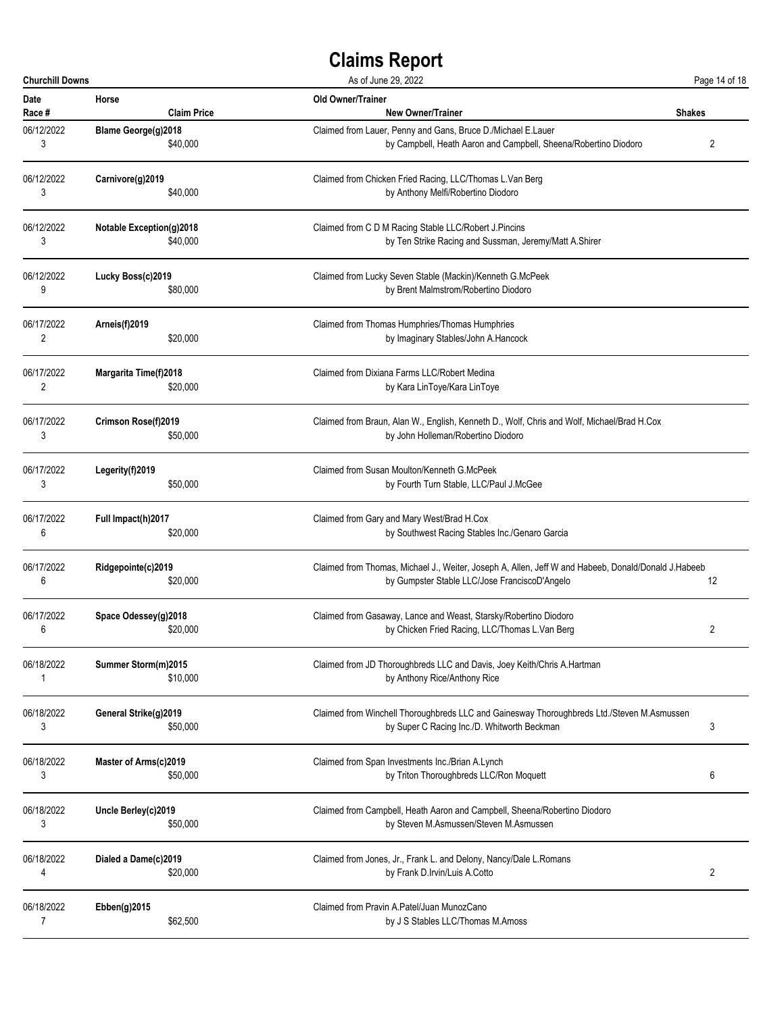| <b>Churchill Downs</b> |                              | As of June 29, 2022                                                                                 | Page 14 of 18  |
|------------------------|------------------------------|-----------------------------------------------------------------------------------------------------|----------------|
| <b>Date</b>            | Horse                        | Old Owner/Trainer                                                                                   | <b>Shakes</b>  |
| Race #                 | <b>Claim Price</b>           | <b>New Owner/Trainer</b>                                                                            |                |
| 06/12/2022             | Blame George(g)2018          | Claimed from Lauer, Penny and Gans, Bruce D./Michael E.Lauer                                        | 2              |
| 3                      | \$40,000                     | by Campbell, Heath Aaron and Campbell, Sheena/Robertino Diodoro                                     |                |
| 06/12/2022             | Carnivore(g)2019             | Claimed from Chicken Fried Racing, LLC/Thomas L.Van Berg                                            |                |
| 3                      | \$40,000                     | by Anthony Melfi/Robertino Diodoro                                                                  |                |
| 06/12/2022             | Notable Exception(g)2018     | Claimed from C D M Racing Stable LLC/Robert J.Pincins                                               |                |
| 3                      | \$40,000                     | by Ten Strike Racing and Sussman, Jeremy/Matt A.Shirer                                              |                |
| 06/12/2022             | Lucky Boss(c)2019            | Claimed from Lucky Seven Stable (Mackin)/Kenneth G.McPeek                                           |                |
| 9                      | \$80,000                     | by Brent Malmstrom/Robertino Diodoro                                                                |                |
| 06/17/2022             | Arneis(f)2019                | Claimed from Thomas Humphries/Thomas Humphries                                                      |                |
| 2                      | \$20,000                     | by Imaginary Stables/John A.Hancock                                                                 |                |
| 06/17/2022             | <b>Margarita Time(f)2018</b> | Claimed from Dixiana Farms LLC/Robert Medina                                                        |                |
| 2                      | \$20,000                     | by Kara LinToye/Kara LinToye                                                                        |                |
| 06/17/2022             | Crimson Rose(f)2019          | Claimed from Braun, Alan W., English, Kenneth D., Wolf, Chris and Wolf, Michael/Brad H.Cox          |                |
| 3                      | \$50,000                     | by John Holleman/Robertino Diodoro                                                                  |                |
| 06/17/2022             | Legerity(f)2019              | Claimed from Susan Moulton/Kenneth G.McPeek                                                         |                |
| 3                      | \$50,000                     | by Fourth Turn Stable, LLC/Paul J.McGee                                                             |                |
| 06/17/2022             | Full Impact(h)2017           | Claimed from Gary and Mary West/Brad H.Cox                                                          |                |
| 6                      | \$20,000                     | by Southwest Racing Stables Inc./Genaro Garcia                                                      |                |
| 06/17/2022             | Ridgepointe(c)2019           | Claimed from Thomas, Michael J., Weiter, Joseph A, Allen, Jeff W and Habeeb, Donald/Donald J.Habeeb | 12             |
| 6                      | \$20,000                     | by Gumpster Stable LLC/Jose FranciscoD'Angelo                                                       |                |
| 06/17/2022             | Space Odessey(g)2018         | Claimed from Gasaway, Lance and Weast, Starsky/Robertino Diodoro                                    | 2              |
| 6                      | \$20.000                     | by Chicken Fried Racing, LLC/Thomas L.Van Berg                                                      |                |
| 06/18/2022             | Summer Storm(m)2015          | Claimed from JD Thoroughbreds LLC and Davis, Joey Keith/Chris A.Hartman                             |                |
| 1                      | \$10,000                     | by Anthony Rice/Anthony Rice                                                                        |                |
| 06/18/2022             | General Strike(g)2019        | Claimed from Winchell Thoroughbreds LLC and Gainesway Thoroughbreds Ltd./Steven M.Asmussen          | 3              |
| 3                      | \$50,000                     | by Super C Racing Inc./D. Whitworth Beckman                                                         |                |
| 06/18/2022             | Master of Arms(c)2019        | Claimed from Span Investments Inc./Brian A.Lynch                                                    | 6              |
| 3                      | \$50,000                     | by Triton Thoroughbreds LLC/Ron Moquett                                                             |                |
| 06/18/2022             | Uncle Berley(c)2019          | Claimed from Campbell, Heath Aaron and Campbell, Sheena/Robertino Diodoro                           |                |
| 3                      | \$50,000                     | by Steven M.Asmussen/Steven M.Asmussen                                                              |                |
| 06/18/2022             | Dialed a Dame(c)2019         | Claimed from Jones, Jr., Frank L. and Delony, Nancy/Dale L. Romans                                  | $\overline{2}$ |
| 4                      | \$20,000                     | by Frank D.Irvin/Luis A.Cotto                                                                       |                |
| 06/18/2022             | Ebben(g)2015                 | Claimed from Pravin A.Patel/Juan MunozCano                                                          |                |
| 7                      | \$62,500                     | by J S Stables LLC/Thomas M.Amoss                                                                   |                |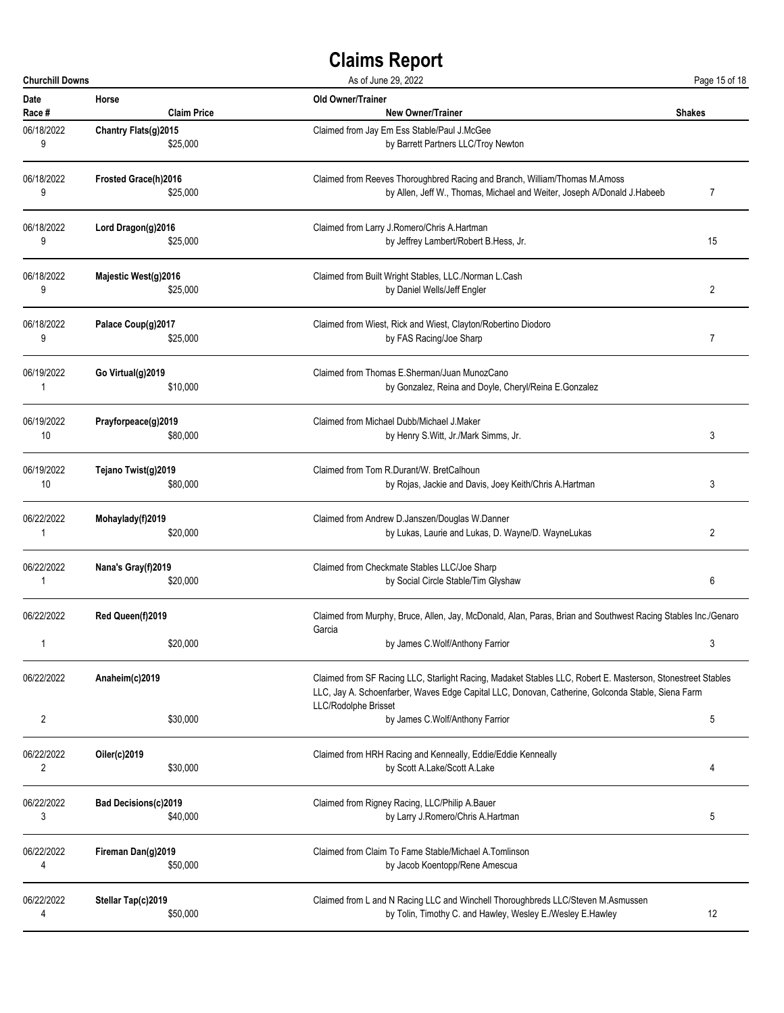| <b>Churchill Downs</b> |                                                                                                                                                                                                                                                            | As of June 29, 2022                                                                                                     | Page 15 of 18 |
|------------------------|------------------------------------------------------------------------------------------------------------------------------------------------------------------------------------------------------------------------------------------------------------|-------------------------------------------------------------------------------------------------------------------------|---------------|
| Date                   | Horse                                                                                                                                                                                                                                                      | <b>Old Owner/Trainer</b>                                                                                                | <b>Shakes</b> |
| Race #                 | <b>Claim Price</b>                                                                                                                                                                                                                                         | <b>New Owner/Trainer</b>                                                                                                |               |
| 06/18/2022             | Chantry Flats(g)2015                                                                                                                                                                                                                                       | Claimed from Jay Em Ess Stable/Paul J.McGee                                                                             |               |
| 9                      | \$25,000                                                                                                                                                                                                                                                   | by Barrett Partners LLC/Troy Newton                                                                                     |               |
| 06/18/2022             | Frosted Grace(h)2016                                                                                                                                                                                                                                       | Claimed from Reeves Thoroughbred Racing and Branch, William/Thomas M.Amoss                                              | 7             |
| 9                      | \$25,000                                                                                                                                                                                                                                                   | by Allen, Jeff W., Thomas, Michael and Weiter, Joseph A/Donald J.Habeeb                                                 |               |
| 06/18/2022             | Lord Dragon(g)2016                                                                                                                                                                                                                                         | Claimed from Larry J.Romero/Chris A.Hartman                                                                             | 15            |
| 9                      | \$25,000                                                                                                                                                                                                                                                   | by Jeffrey Lambert/Robert B.Hess, Jr.                                                                                   |               |
| 06/18/2022             | Majestic West(g)2016                                                                                                                                                                                                                                       | Claimed from Built Wright Stables, LLC./Norman L.Cash                                                                   | 2             |
| 9                      | \$25,000                                                                                                                                                                                                                                                   | by Daniel Wells/Jeff Engler                                                                                             |               |
| 06/18/2022             | Palace Coup(g)2017                                                                                                                                                                                                                                         | Claimed from Wiest, Rick and Wiest, Clayton/Robertino Diodoro                                                           | 7             |
| 9                      | \$25,000                                                                                                                                                                                                                                                   | by FAS Racing/Joe Sharp                                                                                                 |               |
| 06/19/2022             | Go Virtual(g)2019                                                                                                                                                                                                                                          | Claimed from Thomas E.Sherman/Juan MunozCano                                                                            |               |
| 1                      | \$10,000                                                                                                                                                                                                                                                   | by Gonzalez, Reina and Doyle, Cheryl/Reina E.Gonzalez                                                                   |               |
| 06/19/2022             | Prayforpeace(g)2019                                                                                                                                                                                                                                        | Claimed from Michael Dubb/Michael J.Maker                                                                               | 3             |
| 10                     | \$80,000                                                                                                                                                                                                                                                   | by Henry S.Witt, Jr./Mark Simms, Jr.                                                                                    |               |
| 06/19/2022             | Tejano Twist(g)2019                                                                                                                                                                                                                                        | Claimed from Tom R.Durant/W. BretCalhoun                                                                                | 3             |
| 10                     | \$80,000                                                                                                                                                                                                                                                   | by Rojas, Jackie and Davis, Joey Keith/Chris A.Hartman                                                                  |               |
| 06/22/2022             | Mohaylady(f)2019                                                                                                                                                                                                                                           | Claimed from Andrew D.Janszen/Douglas W.Danner                                                                          | 2             |
| 1                      | \$20,000                                                                                                                                                                                                                                                   | by Lukas, Laurie and Lukas, D. Wayne/D. WayneLukas                                                                      |               |
| 06/22/2022             | Nana's Gray(f)2019                                                                                                                                                                                                                                         | Claimed from Checkmate Stables LLC/Joe Sharp                                                                            | 6             |
| 1                      | \$20,000                                                                                                                                                                                                                                                   | by Social Circle Stable/Tim Glyshaw                                                                                     |               |
| 06/22/2022             | Red Queen(f)2019                                                                                                                                                                                                                                           | Claimed from Murphy, Bruce, Allen, Jay, McDonald, Alan, Paras, Brian and Southwest Racing Stables Inc./Genaro<br>Garcia |               |
| $\mathbf{1}$           | \$20,000                                                                                                                                                                                                                                                   | by James C.Wolf/Anthony Farrior                                                                                         |               |
| 06/22/2022             | Anaheim(c)2019<br>Claimed from SF Racing LLC, Starlight Racing, Madaket Stables LLC, Robert E. Masterson, Stonestreet Stables<br>LLC, Jay A. Schoenfarber, Waves Edge Capital LLC, Donovan, Catherine, Golconda Stable, Siena Farm<br>LLC/Rodolphe Brisset |                                                                                                                         |               |
| 2                      | \$30,000                                                                                                                                                                                                                                                   | by James C.Wolf/Anthony Farrior                                                                                         | 5             |
| 06/22/2022             | Oiler(c)2019                                                                                                                                                                                                                                               | Claimed from HRH Racing and Kenneally, Eddie/Eddie Kenneally                                                            | 4             |
| 2                      | \$30,000                                                                                                                                                                                                                                                   | by Scott A.Lake/Scott A.Lake                                                                                            |               |
| 06/22/2022             | <b>Bad Decisions(c)2019</b>                                                                                                                                                                                                                                | Claimed from Rigney Racing, LLC/Philip A.Bauer                                                                          | 5             |
| 3                      | \$40,000                                                                                                                                                                                                                                                   | by Larry J.Romero/Chris A.Hartman                                                                                       |               |
| 06/22/2022             | Fireman Dan(g)2019                                                                                                                                                                                                                                         | Claimed from Claim To Fame Stable/Michael A.Tomlinson                                                                   |               |
| 4                      | \$50,000                                                                                                                                                                                                                                                   | by Jacob Koentopp/Rene Amescua                                                                                          |               |
| 06/22/2022             | Stellar Tap(c)2019                                                                                                                                                                                                                                         | Claimed from L and N Racing LLC and Winchell Thoroughbreds LLC/Steven M.Asmussen                                        | 12            |
| 4                      | \$50,000                                                                                                                                                                                                                                                   | by Tolin, Timothy C. and Hawley, Wesley E./Wesley E.Hawley                                                              |               |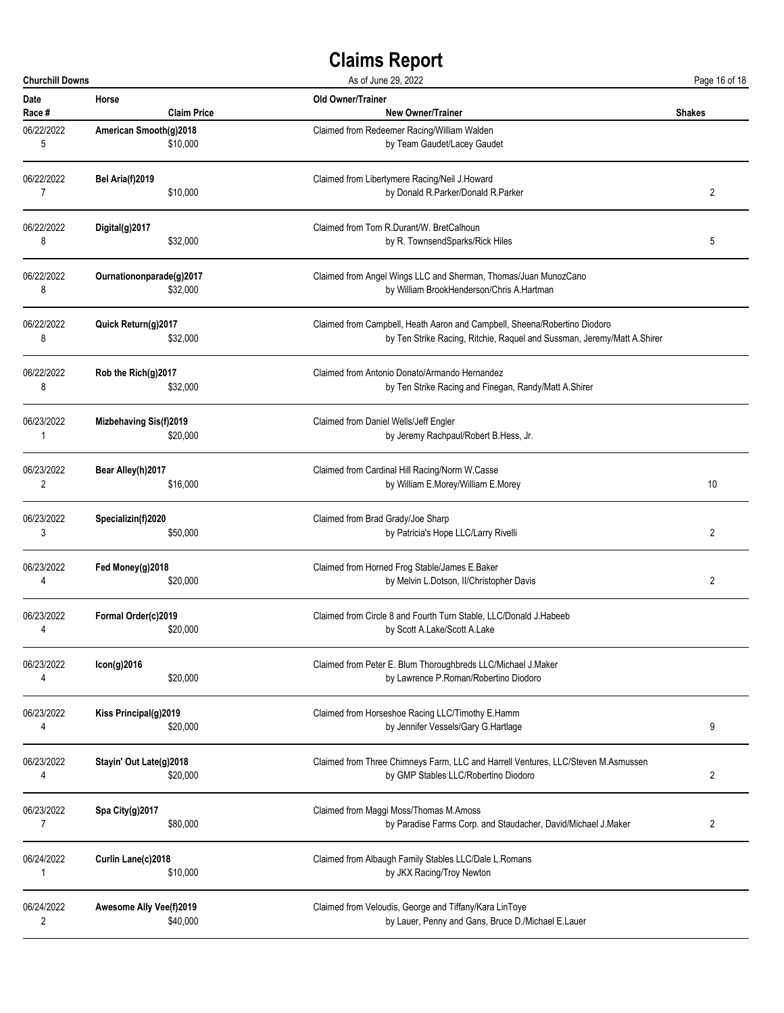| <b>Churchill Downs</b> |                          | As of June 29, 2022                                                               | Page 16 of 18 |
|------------------------|--------------------------|-----------------------------------------------------------------------------------|---------------|
| Date                   | Horse                    | <b>Old Owner/Trainer</b>                                                          | <b>Shakes</b> |
| Race #                 | <b>Claim Price</b>       | <b>New Owner/Trainer</b>                                                          |               |
| 06/22/2022             | American Smooth(g)2018   | Claimed from Redeemer Racing/William Walden                                       |               |
| 5                      | \$10,000                 | by Team Gaudet/Lacey Gaudet                                                       |               |
| 06/22/2022             | Bel Aria(f)2019          | Claimed from Libertymere Racing/Neil J.Howard                                     | 2             |
| 7                      | \$10,000                 | by Donald R.Parker/Donald R.Parker                                                |               |
| 06/22/2022             | Digital(g)2017           | Claimed from Tom R.Durant/W. BretCalhoun                                          | 5             |
| 8                      | \$32,000                 | by R. TownsendSparks/Rick Hiles                                                   |               |
| 06/22/2022             | Ournationonparade(g)2017 | Claimed from Angel Wings LLC and Sherman, Thomas/Juan MunozCano                   |               |
| 8                      | \$32,000                 | by William BrookHenderson/Chris A.Hartman                                         |               |
| 06/22/2022             | Quick Return(g)2017      | Claimed from Campbell, Heath Aaron and Campbell, Sheena/Robertino Diodoro         |               |
| 8                      | \$32,000                 | by Ten Strike Racing, Ritchie, Raquel and Sussman, Jeremy/Matt A.Shirer           |               |
| 06/22/2022             | Rob the Rich(g)2017      | Claimed from Antonio Donato/Armando Hernandez                                     |               |
| 8                      | \$32,000                 | by Ten Strike Racing and Finegan, Randy/Matt A.Shirer                             |               |
| 06/23/2022             | Mizbehaving Sis(f)2019   | Claimed from Daniel Wells/Jeff Engler                                             |               |
| 1                      | \$20,000                 | by Jeremy Rachpaul/Robert B.Hess, Jr.                                             |               |
| 06/23/2022             | Bear Alley(h)2017        | Claimed from Cardinal Hill Racing/Norm W.Casse                                    | 10            |
| 2                      | \$16,000                 | by William E.Morey/William E.Morey                                                |               |
| 06/23/2022             | Specializin(f)2020       | Claimed from Brad Grady/Joe Sharp                                                 | 2             |
| 3                      | \$50,000                 | by Patricia's Hope LLC/Larry Rivelli                                              |               |
| 06/23/2022             | Fed Money(g)2018         | Claimed from Horned Frog Stable/James E.Baker                                     | 2             |
| 4                      | \$20,000                 | by Melvin L.Dotson, II/Christopher Davis                                          |               |
| 06/23/2022             | Formal Order(c)2019      | Claimed from Circle 8 and Fourth Turn Stable, LLC/Donald J.Habeeb                 |               |
| 4                      | \$20,000                 | by Scott A.Lake/Scott A.Lake                                                      |               |
| 06/23/2022             | Icon(g)2016              | Claimed from Peter E. Blum Thoroughbreds LLC/Michael J.Maker                      |               |
| 4                      | \$20,000                 | by Lawrence P.Roman/Robertino Diodoro                                             |               |
| 06/23/2022             | Kiss Principal(g)2019    | Claimed from Horseshoe Racing LLC/Timothy E.Hamm                                  | 9             |
| 4                      | \$20,000                 | by Jennifer Vessels/Gary G.Hartlage                                               |               |
| 06/23/2022             | Stayin' Out Late(g)2018  | Claimed from Three Chimneys Farm, LLC and Harrell Ventures, LLC/Steven M.Asmussen | 2             |
| 4                      | \$20,000                 | by GMP Stables LLC/Robertino Diodoro                                              |               |
| 06/23/2022             | Spa City(g)2017          | Claimed from Maggi Moss/Thomas M.Amoss                                            | 2             |
| $\overline{7}$         | \$80,000                 | by Paradise Farms Corp. and Staudacher, David/Michael J.Maker                     |               |
| 06/24/2022             | Curlin Lane(c)2018       | Claimed from Albaugh Family Stables LLC/Dale L.Romans                             |               |
| 1                      | \$10,000                 | by JKX Racing/Troy Newton                                                         |               |
| 06/24/2022             | Awesome Ally Vee(f)2019  | Claimed from Veloudis, George and Tiffany/Kara LinToye                            |               |
| 2                      | \$40,000                 | by Lauer, Penny and Gans, Bruce D./Michael E.Lauer                                |               |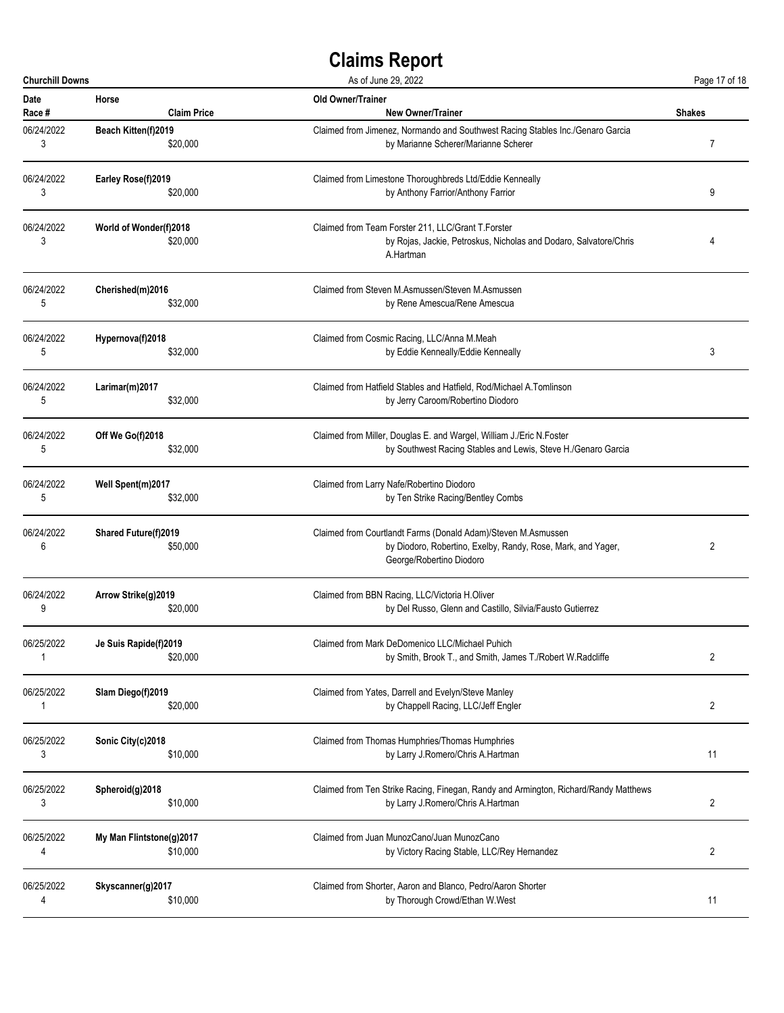| <b>Churchill Downs</b> |                                    | As of June 29, 2022                                                                                                                                       | Page 17 of 18  |
|------------------------|------------------------------------|-----------------------------------------------------------------------------------------------------------------------------------------------------------|----------------|
| <b>Date</b>            | Horse                              | <b>Old Owner/Trainer</b>                                                                                                                                  | <b>Shakes</b>  |
| Race #                 | <b>Claim Price</b>                 | <b>New Owner/Trainer</b>                                                                                                                                  |                |
| 06/24/2022             | Beach Kitten(f)2019                | Claimed from Jimenez, Normando and Southwest Racing Stables Inc./Genaro Garcia                                                                            | 7              |
| 3                      | \$20,000                           | by Marianne Scherer/Marianne Scherer                                                                                                                      |                |
| 06/24/2022             | Earley Rose(f)2019                 | Claimed from Limestone Thoroughbreds Ltd/Eddie Kenneally                                                                                                  | 9              |
| 3                      | \$20,000                           | by Anthony Farrior/Anthony Farrior                                                                                                                        |                |
| 06/24/2022<br>3        | World of Wonder(f)2018<br>\$20,000 | Claimed from Team Forster 211, LLC/Grant T.Forster<br>by Rojas, Jackie, Petroskus, Nicholas and Dodaro, Salvatore/Chris<br>A.Hartman                      |                |
| 06/24/2022             | Cherished(m)2016                   | Claimed from Steven M.Asmussen/Steven M.Asmussen                                                                                                          |                |
| 5                      | \$32,000                           | by Rene Amescua/Rene Amescua                                                                                                                              |                |
| 06/24/2022             | Hypernova(f)2018                   | Claimed from Cosmic Racing, LLC/Anna M.Meah                                                                                                               | 3              |
| 5                      | \$32,000                           | by Eddie Kenneally/Eddie Kenneally                                                                                                                        |                |
| 06/24/2022             | Larimar(m)2017                     | Claimed from Hatfield Stables and Hatfield, Rod/Michael A.Tomlinson                                                                                       |                |
| 5                      | \$32,000                           | by Jerry Caroom/Robertino Diodoro                                                                                                                         |                |
| 06/24/2022             | Off We Go(f)2018                   | Claimed from Miller, Douglas E. and Wargel, William J./Eric N.Foster                                                                                      |                |
| 5                      | \$32,000                           | by Southwest Racing Stables and Lewis, Steve H./Genaro Garcia                                                                                             |                |
| 06/24/2022             | Well Spent(m)2017                  | Claimed from Larry Nafe/Robertino Diodoro                                                                                                                 |                |
| 5                      | \$32,000                           | by Ten Strike Racing/Bentley Combs                                                                                                                        |                |
| 06/24/2022<br>6        | Shared Future(f)2019<br>\$50,000   | Claimed from Courtlandt Farms (Donald Adam)/Steven M.Asmussen<br>by Diodoro, Robertino, Exelby, Randy, Rose, Mark, and Yager,<br>George/Robertino Diodoro | 2              |
| 06/24/2022             | Arrow Strike(g)2019                | Claimed from BBN Racing, LLC/Victoria H.Oliver                                                                                                            |                |
| 9                      | \$20,000                           | by Del Russo, Glenn and Castillo, Silvia/Fausto Gutierrez                                                                                                 |                |
| 06/25/2022             | Je Suis Rapide(f)2019              | Claimed from Mark DeDomenico LLC/Michael Puhich                                                                                                           | $\overline{2}$ |
| 1                      | \$20,000                           | by Smith, Brook T., and Smith, James T./Robert W.Radcliffe                                                                                                |                |
| 06/25/2022             | Slam Diego(f)2019                  | Claimed from Yates, Darrell and Evelyn/Steve Manley                                                                                                       | $\overline{2}$ |
| 1                      | \$20,000                           | by Chappell Racing, LLC/Jeff Engler                                                                                                                       |                |
| 06/25/2022             | Sonic City(c)2018                  | Claimed from Thomas Humphries/Thomas Humphries                                                                                                            | 11             |
| 3                      | \$10,000                           | by Larry J.Romero/Chris A.Hartman                                                                                                                         |                |
| 06/25/2022             | Spheroid(g)2018                    | Claimed from Ten Strike Racing, Finegan, Randy and Armington, Richard/Randy Matthews                                                                      | 2              |
| 3                      | \$10,000                           | by Larry J.Romero/Chris A.Hartman                                                                                                                         |                |
| 06/25/2022             | My Man Flintstone(g)2017           | Claimed from Juan MunozCano/Juan MunozCano                                                                                                                | $\overline{2}$ |
| 4                      | \$10,000                           | by Victory Racing Stable, LLC/Rey Hernandez                                                                                                               |                |
| 06/25/2022             | Skyscanner(g)2017                  | Claimed from Shorter, Aaron and Blanco, Pedro/Aaron Shorter                                                                                               | 11             |
| 4                      | \$10,000                           | by Thorough Crowd/Ethan W.West                                                                                                                            |                |